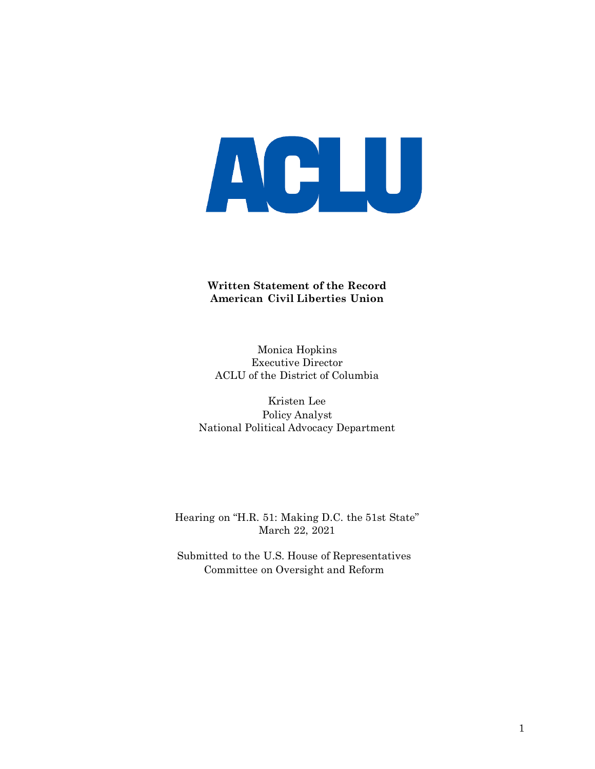

#### **Written Statement of the Record American Civil Liberties Union**

Monica Hopkins Executive Director ACLU of the District of Columbia

Kristen Lee Policy Analyst National Political Advocacy Department

Hearing on "H.R. 51: Making D.C. the 51st State" March 22, 2021

Submitted to the U.S. House of Representatives Committee on Oversight and Reform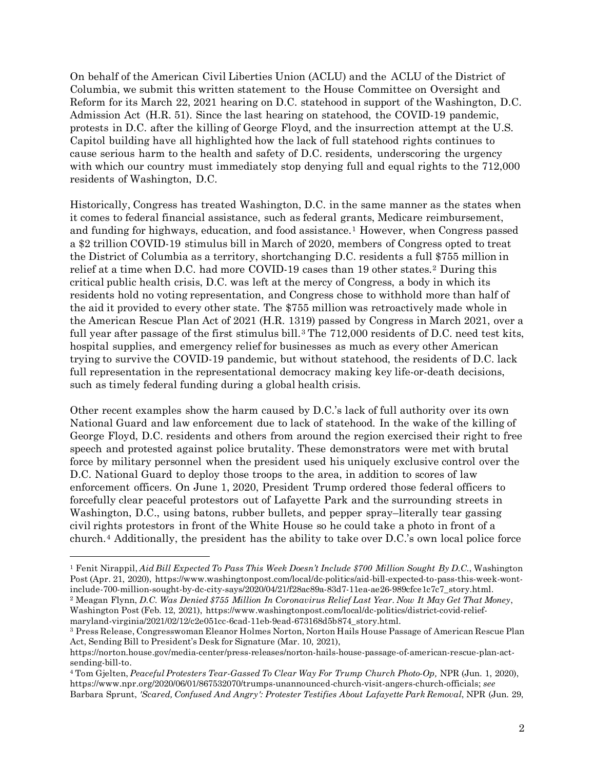On behalf of the American Civil Liberties Union (ACLU) and the ACLU of the District of Columbia, we submit this written statement to the House Committee on Oversight and Reform for its March 22, 2021 hearing on D.C. statehood in support of the Washington, D.C. Admission Act (H.R. 51). Since the last hearing on statehood, the COVID-19 pandemic, protests in D.C. after the killing of George Floyd, and the insurrection attempt at the U.S. Capitol building have all highlighted how the lack of full statehood rights continues to cause serious harm to the health and safety of D.C. residents, underscoring the urgency with which our country must immediately stop denying full and equal rights to the  $712,000$ residents of Washington, D.C.

Historically, Congress has treated Washington, D.C. in the same manner as the states when it comes to federal financial assistance, such as federal grants, Medicare reimbursement, and funding for highways, education, and food assistance.<sup>[1](#page-1-0)</sup> However, when Congress passed a \$2 trillion COVID-19 stimulus bill in March of 2020, members of Congress opted to treat the District of Columbia as a territory, shortchanging D.C. residents a full \$755 million in relief at a time when D.C. had more COVID-19 cases than 19 other states.[2](#page-1-1) During this critical public health crisis, D.C. was left at the mercy of Congress, a body in which its residents hold no voting representation, and Congress chose to withhold more than half of the aid it provided to every other state. The \$755 million was retroactively made whole in the American Rescue Plan Act of 2021 (H.R. 1319) passed by Congress in March 2021, over a full year after passage of the first stimulus bill.<sup>[3](#page-1-2)</sup> The  $712,000$  residents of D.C. need test kits, hospital supplies, and emergency relief for businesses as much as every other American trying to survive the COVID-19 pandemic, but without statehood, the residents of D.C. lack full representation in the representational democracy making key life-or-death decisions, such as timely federal funding during a global health crisis.

Other recent examples show the harm caused by D.C.'s lack of full authority over its own National Guard and law enforcement due to lack of statehood. In the wake of the killing of George Floyd, D.C. residents and others from around the region exercised their right to free speech and protested against police brutality. These demonstrators were met with brutal force by military personnel when the president used his uniquely exclusive control over the D.C. National Guard to deploy those troops to the area, in addition to scores of law enforcement officers. On June 1, 2020, President Trump ordered those federal officers to forcefully clear peaceful protestors out of Lafayette Park and the surrounding streets in Washington, D.C., using batons, rubber bullets, and pepper spray–literally tear gassing civil rights protestors in front of the White House so he could take a photo in front of a church.[4](#page-1-3) Additionally, the president has the ability to take over D.C.'s own local police force

<span id="page-1-0"></span><sup>1</sup> Fenit Nirappil, *Aid Bill Expected To Pass This Week Doesn't Include \$700 Million Sought By D.C.*, Washington Post (Apr. 21, 2020), https://www.washingtonpost.com/local/dc-politics/aid-bill-expected-to-pass-this-week-wontinclude-700-million-sought-by-dc-city-says/2020/04/21/f28ac89a-83d7-11ea-ae26-989cfce1c7c7\_story.html. <sup>2</sup> Meagan Flynn, *D.C. Was Denied \$755 Million In Coronavirus Relief Last Year. Now It May Get That Money*,

<span id="page-1-1"></span>Washington Post (Feb. 12, 2021), https://www.washingtonpost.com/local/dc-politics/district-covid-reliefmaryland-virginia/2021/02/12/c2e051cc-6cad-11eb-9ead-673168d5b874\_story.html.

<span id="page-1-2"></span><sup>3</sup> Press Release, Congresswoman Eleanor Holmes Norton, Norton Hails House Passage of American Rescue Plan Act, Sending Bill to President's Desk for Signature (Mar. 10, 2021),

https://norton.house.gov/media-center/press-releases/norton-hails-house-passage-of-american-rescue-plan-actsending-bill-to.

<span id="page-1-3"></span><sup>4</sup> Tom Gjelten, *Peaceful Protesters Tear-Gassed To Clear Way For Trump Church Photo-Op,* NPR (Jun. 1, 2020), [https://www.npr.org/2020/06/01/867532070/trumps-unannounced-church-visit-angers-church-officials;](https://www.npr.org/2020/06/01/867532070/trumps-unannounced-church-visit-angers-church-officials) *see*  Barbara Sprunt, *'Scared, Confused And Angry': Protester Testifies About Lafayette Park Removal*, NPR (Jun. 29,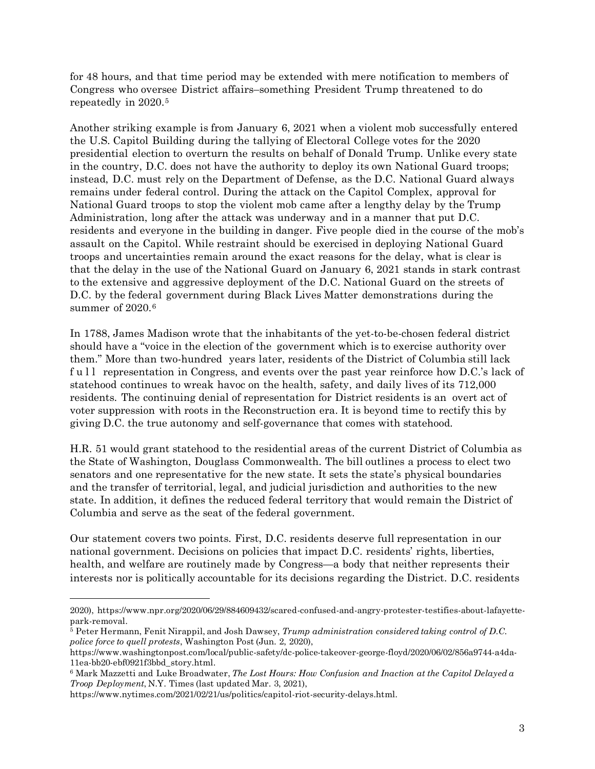for 48 hours, and that time period may be extended with mere notification to members of Congress who oversee District affairs–something President Trump threatened to do repeatedly in 2020.[5](#page-2-0)

Another striking example is from January 6, 2021 when a violent mob successfully entered the U.S. Capitol Building during the tallying of Electoral College votes for the 2020 presidential election to overturn the results on behalf of Donald Trump. Unlike every state in the country, D.C. does not have the authority to deploy its own National Guard troops; instead, D.C. must rely on the Department of Defense, as the D.C. National Guard always remains under federal control. During the attack on the Capitol Complex, approval for National Guard troops to stop the violent mob came after a lengthy delay by the Trump Administration, long after the attack was underway and in a manner that put D.C. residents and everyone in the building in danger. Five people died in the course of the mob's assault on the Capitol. While restraint should be exercised in deploying National Guard troops and uncertainties remain around the exact reasons for the delay, what is clear is that the delay in the use of the National Guard on January 6, 2021 stands in stark contrast to the extensive and aggressive deployment of the D.C. National Guard on the streets of D.C. by the federal government during Black Lives Matter demonstrations during the summer of 2020.<sup>[6](#page-2-1)</sup>

In 1788, James Madison wrote that the inhabitants of the yet-to-be-chosen federal district should have a "voice in the election of the government which is to exercise authority over them." More than two-hundred years later, residents of the District of Columbia still lack full representation in Congress, and events over the past year reinforce how D.C.'s lack of statehood continues to wreak havoc on the health, safety, and daily lives of its 712,000 residents. The continuing denial of representation for District residents is an overt act of voter suppression with roots in the Reconstruction era. It is beyond time to rectify this by giving D.C. the true autonomy and self-governance that comes with statehood.

H.R. 51 would grant statehood to the residential areas of the current District of Columbia as the State of Washington, Douglass Commonwealth. The bill outlines a process to elect two senators and one representative for the new state. It sets the state's physical boundaries and the transfer of territorial, legal, and judicial jurisdiction and authorities to the new state. In addition, it defines the reduced federal territory that would remain the District of Columbia and serve as the seat of the federal government.

Our statement covers two points. First, D.C. residents deserve full representation in our national government. Decisions on policies that impact D.C. residents' rights, liberties, health, and welfare are routinely made by Congress—a body that neither represents their interests nor is politically accountable for its decisions regarding the District. D.C. residents

<sup>2020),</sup> https://www.npr.org/2020/06/29/884609432/scared-confused-and-angry-protester-testifies-about-lafayettepark-removal.

<span id="page-2-0"></span><sup>5</sup> Peter Hermann, Fenit Nirappil, and Josh Dawsey, *Trump administration considered taking control of D.C. police force to quell protests*, Washington Post (Jun. 2, 2020),

[https://www.washingtonpost.com/local/public-safety/dc-police-takeover-george-floyd/2020/06/02/856a9744-a4da-](https://www.washingtonpost.com/local/public-safety/dc-police-takeover-george-floyd/2020/06/02/856a9744-a4da-11ea-bb20-ebf0921f3bbd_story.html)[11ea-bb20-ebf0921f3bbd\\_story.html.](https://www.washingtonpost.com/local/public-safety/dc-police-takeover-george-floyd/2020/06/02/856a9744-a4da-11ea-bb20-ebf0921f3bbd_story.html)

<span id="page-2-1"></span><sup>6</sup> Mark Mazzetti and Luke Broadwater, *The Lost Hours: How Confusion and Inaction at the Capitol Delayed a Troop Deployment*, N.Y. Times (last updated Mar. 3, 2021),

[https://www.nytimes.com/2021/02/21/us/politics/capitol-riot-security-delays.html.](https://www.nytimes.com/2021/02/21/us/politics/capitol-riot-security-delays.html)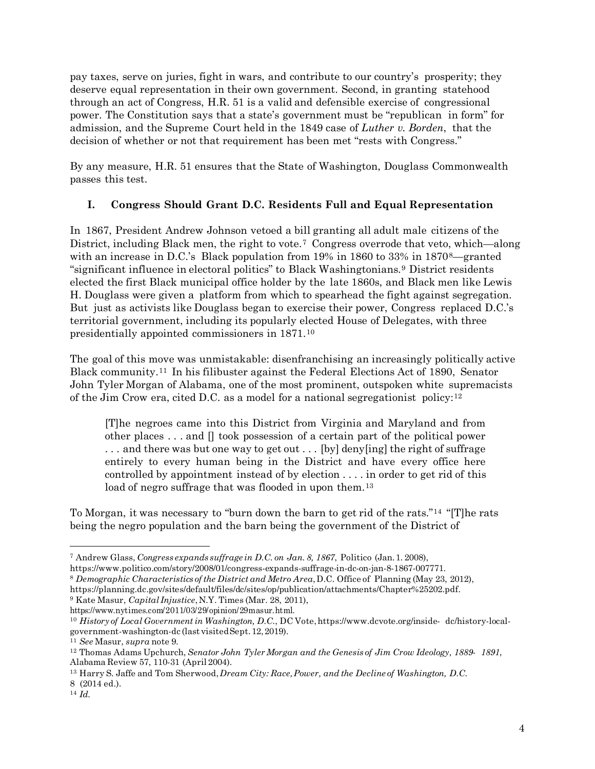pay taxes, serve on juries, fight in wars, and contribute to our country's prosperity; they deserve equal representation in their own government. Second, in granting statehood through an act of Congress, H.R. 51 is a valid and defensible exercise of congressional power. The Constitution says that a state's government must be "republican in form" for admission, and the Supreme Court held in the 1849 case of *Luther v. Borden*, that the decision of whether or not that requirement has been met "rests with Congress."

By any measure, H.R. 51 ensures that the State of Washington, Douglass Commonwealth passes this test.

## **I. Congress Should Grant D.C. Residents Full and Equal Representation**

In 1867, President Andrew Johnson vetoed a bill granting all adult male citizens of the District, including Black men, the right to vote.<sup>[7](#page-3-0)</sup> Congress overrode that veto, which—along with an increase in D.C.'s Black population from 19% in 1[8](#page-3-1)60 to 33% in 1870<sup>8</sup>—granted "significant influence in electoral politics" to Black Washingtonians.[9](#page-3-2) District residents elected the first Black municipal office holder by the late 1860s, and Black men like Lewis H. Douglass were given a platform from which to spearhead the fight against segregation. But just as activists like Douglass began to exercise their power, Congress replaced D.C.'s territorial government, including its popularly elected House of Delegates, with three presidentially appointed commissioners in 1871.[10](#page-3-3)

The goal of this move was unmistakable: disenfranchising an increasingly politically active Black community.[11](#page-3-4) In his filibuster against the Federal Elections Act of 1890, Senator John Tyler Morgan of Alabama, one of the most prominent, outspoken white supremacists of the Jim Crow era, cited D.C. as a model for a national segregationist policy:  $12$ 

[T]he negroes came into this District from Virginia and Maryland and from other places . . . and [] took possession of a certain part of the political power . . . and there was but one way to get out . . . [by] deny[ing] the right of suffrage entirely to every human being in the District and have every office here controlled by appointment instead of by election . . . . in order to get rid of this load of negro suffrage that was flooded in upon them.<sup>[13](#page-3-6)</sup>

To Morgan, it was necessary to "burn down the barn to get rid of the rats."[14](#page-3-7) "[T]he rats being the negro population and the barn being the government of the District of

<span id="page-3-0"></span><sup>7</sup> Andrew Glass, *Congress expands suffrage in D.C. on Jan. 8, 1867*, Politico (Jan.1. 2008),

htt[ps://www.politico.com/story/2008/01/congress-expands-](http://www.politico.com/story/2008/01/congress-expands-)suffrage-in-dc-on-jan-8-1867-007771.

<span id="page-3-1"></span><sup>8</sup> *Demographic Characteristics of the District and Metro Area*,D.C. Office of Planning (May 23, 2012),

https://planning.dc.gov/sites/default/files/dc/sites/op/publication/attachments/Chapter%25202.pdf. <sup>9</sup> Kate Masur, *Capital Injustice*,N.Y. Times (Mar. 28, 2011),

<span id="page-3-2"></span>https:/[/www.nytimes.com/2011/03/29/opinion/29](http://www.nytimes.com/2011/03/29/opinion/)masur.html.

<span id="page-3-3"></span><sup>10</sup> *History of Local Government in Washington, D.C.*, DC Vote,htt[ps://www.dcvote.org/inside-](http://www.dcvote.org/inside-) dc/history-localgovernment-washington-dc (last visitedSept.12,2019).

<span id="page-3-4"></span><sup>11</sup> *See* Masur, *supra* note 9.

<span id="page-3-5"></span><sup>12</sup> Thomas Adams Upchurch, *Senator John TylerMorgan and the Genesis of Jim Crow Ideology, 1889- 1891*, Alabama Review 57, 110-31 (April 2004).

<span id="page-3-6"></span><sup>13</sup> Harry S. Jaffe and Tom Sherwood,*Dream City: Race,Power, and the Decline of Washington, D.C.* 8 (2014 ed.).

<span id="page-3-7"></span><sup>14</sup> *Id.*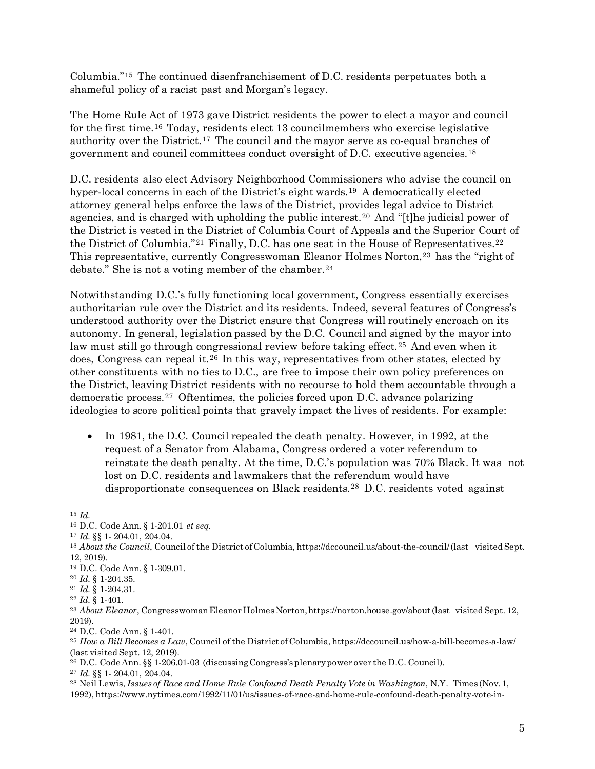Columbia."[15](#page-4-0) The continued disenfranchisement of D.C. residents perpetuates both a shameful policy of a racist past and Morgan's legacy.

The Home Rule Act of 1973 gave District residents the power to elect a mayor and council for the first time.[16](#page-4-1) Today, residents elect 13 councilmembers who exercise legislative authority over the District.[17](#page-4-2) The council and the mayor serve as co-equal branches of government and council committees conduct oversight of D.C. executive agencies.[18](#page-4-3)

D.C. residents also elect Advisory Neighborhood Commissioners who advise the council on hyper-local concerns in each of the District's eight wards.[19](#page-4-4) A democratically elected attorney general helps enforce the laws of the District, provides legal advice to District agencies, and is charged with upholding the public interest.[20](#page-4-5) And "[t]he judicial power of the District is vested in the District of Columbia Court of Appeals and the Superior Court of the District of Columbia."<sup>[21](#page-4-6)</sup> Finally, D.C. has one seat in the House of Representatives.<sup>[22](#page-4-7)</sup> This representative, currently Congresswoman Eleanor Holmes Norton,<sup>[23](#page-4-8)</sup> has the "right of debate." She is not a voting member of the chamber.<sup>[24](#page-4-9)</sup>

Notwithstanding D.C.'s fully functioning local government, Congress essentially exercises authoritarian rule over the District and its residents. Indeed, several features of Congress's understood authority over the District ensure that Congress will routinely encroach on its autonomy. In general, legislation passed by the D.C. Council and signed by the mayor into law must still go through congressional review before taking effect.<sup>[25](#page-4-10)</sup> And even when it does, Congress can repeal it.[26](#page-4-11) In this way, representatives from other states, elected by other constituents with no ties to D.C., are free to impose their own policy preferences on the District, leaving District residents with no recourse to hold them accountable through a democratic process.[27](#page-4-12) Oftentimes, the policies forced upon D.C. advance polarizing ideologies to score political points that gravely impact the lives of residents. For example:

• In 1981, the D.C. Council repealed the death penalty. However, in 1992, at the request of a Senator from Alabama, Congress ordered a voter referendum to reinstate the death penalty. At the time, D.C.'s population was 70% Black. It was not lost on D.C. residents and lawmakers that the referendum would have disproportionate consequences on Black residents.[28](#page-4-13) D.C. residents voted against

 $\overline{\phantom{a}}$ 

<span id="page-4-11"></span><sup>26</sup> D.C. Code Ann. §§ 1-206.01-03 (discussingCongress'splenarypower over the D.C. Council).

<span id="page-4-0"></span><sup>15</sup> *Id.*

<span id="page-4-2"></span><span id="page-4-1"></span><sup>16</sup> D.C. Code Ann. § 1-201.01 *et seq.*

<sup>17</sup> *Id.* §§ 1- 204.01, 204.04.

<span id="page-4-3"></span><sup>&</sup>lt;sup>18</sup> *About the Council*, Council of the District of Columbia, https://dccouncil.us/about-the-council/(last visited Sept. 12, 2019).

<span id="page-4-4"></span><sup>19</sup> D.C. Code Ann. § 1-309.01.

<span id="page-4-5"></span><sup>20</sup> *Id.* § 1-204.35.

<span id="page-4-6"></span><sup>21</sup> *Id.* § 1-204.31.

<span id="page-4-7"></span><sup>22</sup> *Id.* § 1-401.

<span id="page-4-8"></span><sup>&</sup>lt;sup>23</sup> *About Eleanor*, Congresswoman Eleanor Holmes Norton, https://norton.house.gov/about(last visited Sept. 12, 2019).

<span id="page-4-9"></span><sup>24</sup> D.C. Code Ann. § 1-401.

<span id="page-4-10"></span><sup>25</sup> *How a Bill Becomes a Law*, Council of the District ofColumbia, https://dccouncil.us/how-a-bill-becomes-a-law/ (last visited Sept. 12, 2019).

<span id="page-4-12"></span><sup>27</sup> *Id.* §§ 1- 204.01, 204.04.

<span id="page-4-13"></span><sup>28</sup> Neil Lewis, *Issues of Race and Home Rule Confound Death Penalty Vote in Washington*, N.Y. Times (Nov.1, 1992), [https://www.nytimes.com/1992/11/01/us/issues-of-race-and-home-rule-confound-death-penalty-vote-in-](https://www.nytimes.com/1992/11/01/us/issues-of-race-and-home-rule-confound-death-penalty-vote-in-washington.html)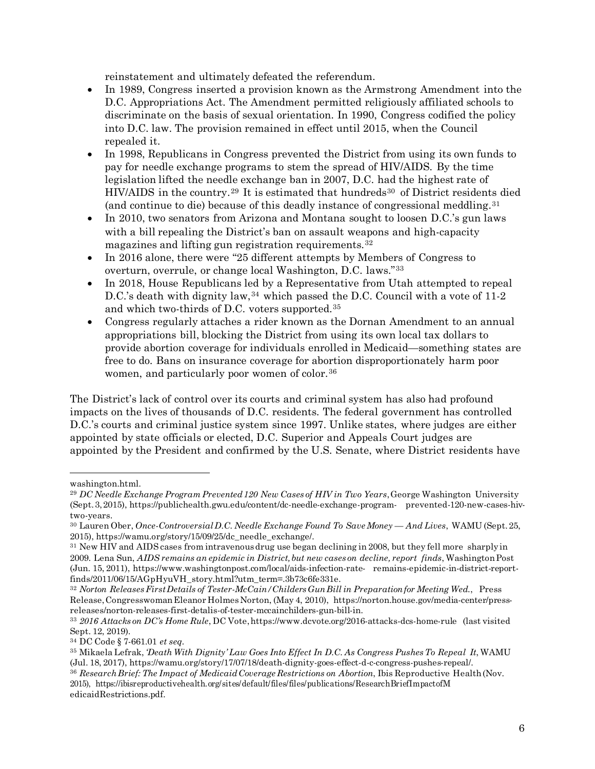reinstatement and ultimately defeated the referendum.

- In 1989, Congress inserted a provision known as the Armstrong Amendment into the D.C. Appropriations Act. The Amendment permitted religiously affiliated schools to discriminate on the basis of sexual orientation. In 1990, Congress codified the policy into D.C. law. The provision remained in effect until 2015, when the Council repealed it.
- In 1998, Republicans in Congress prevented the District from using its own funds to pay for needle exchange programs to stem the spread of HIV/AIDS. By the time legislation lifted the needle exchange ban in 2007, D.C. had the highest rate of HIV/AIDS in the country.<sup>[29](#page-5-0)</sup> It is estimated that hundreds<sup>[30](#page-5-1)</sup> of District residents died (and continue to die) because of this deadly instance of congressional meddling.[31](#page-5-2)
- In 2010, two senators from Arizona and Montana sought to loosen D.C.'s gun laws with a bill repealing the District's ban on assault weapons and high-capacity magazines and lifting gun registration requirements.[32](#page-5-3)
- In 2016 alone, there were "25 different attempts by Members of Congress to overturn, overrule, or change local Washington, D.C. laws."[33](#page-5-4)
- In 2018, House Republicans led by a Representative from Utah attempted to repeal D.C.'s death with dignity law,<sup>[34](#page-5-5)</sup> which passed the D.C. Council with a vote of 11-2 and which two-thirds of D.C. voters supported.[35](#page-5-6)
- Congress regularly attaches a rider known as the Dornan Amendment to an annual appropriations bill, blocking the District from using its own local tax dollars to provide abortion coverage for individuals enrolled in Medicaid—something states are free to do. Bans on insurance coverage for abortion disproportionately harm poor women, and particularly poor women of color.<sup>[36](#page-5-7)</sup>

The District's lack of control over its courts and criminal system has also had profound impacts on the lives of thousands of D.C. residents. The federal government has controlled D.C.'s courts and criminal justice system since 1997. Unlike states, where judges are either appointed by state officials or elected, D.C. Superior and Appeals Court judges are appointed by the President and confirmed by the U.S. Senate, where District residents have

[washington.html.](https://www.nytimes.com/1992/11/01/us/issues-of-race-and-home-rule-confound-death-penalty-vote-in-washington.html)

<span id="page-5-0"></span><sup>29</sup> *DC Needle Exchange Program Prevented120 New Cases of HIV in Two Years*,George Washington University (Sept.3,2015), https://publichealth.gwu.edu/content/dc-needle-exchange-program- prevented-120-new-cases-hivtwo-years.

<span id="page-5-1"></span><sup>30</sup> Lauren Ober, *Once-ControversialD.C. Needle Exchange Found To SaveMoney — And Lives*, WAMU (Sept.25, 2015), https://wamu.org/story/15/09/25/dc\_needle\_exchange/.

<span id="page-5-2"></span><sup>&</sup>lt;sup>31</sup> New HIV and AIDS cases from intravenous drug use began declining in 2008, but they fell more sharply in 2009. Lena Sun, *AIDS remains an epidemic in District,but new cases on decline, report finds*, WashingtonPost (Jun. 15, 2011), https:[//www.washingtonpost.com/local/aids-infection-rate-](http://www.washingtonpost.com/local/aids-infection-rate-) remains-epidemic-in-district-reportfinds/2011/06/15/AGpHyuVH\_story.html?utm\_term=.3b73c6fe331e.

<span id="page-5-3"></span><sup>32</sup> *Norton ReleasesFirstDetails of Tester-McCain/ChildersGunBill in Preparationfor Meeting Wed.*, Press Release,CongresswomanEleanor Holmes Norton, (May 4, 2010), https://norton.house.gov/media-center/pressreleases/norton-releases-first-detalis-of-tester-mccainchilders-gun-bill-in.

<span id="page-5-4"></span><sup>33</sup> *2016 Attacks on DC's Home Rule*, DC Vote,https:[//www.dcvote.org/2016-attacks-dcs-home-rule](http://www.dcvote.org/2016-attacks-dcs-home-rule) (last visited Sept. 12, 2019).

<span id="page-5-5"></span><sup>34</sup> DC Code § 7-661.01 *et seq*.

<span id="page-5-6"></span><sup>35</sup> Mikaela Lefrak, *'Death With Dignity' Law Goes Into Effect In D.C. As Congress PushesTo Repeal It*, WAMU (Jul. 18, 2017), https://wamu.org/story/17/07/18/death-dignity-goes-effect-d-c-congress-pushes-repeal/.

<span id="page-5-7"></span><sup>36</sup> *ResearchBrief: The Impact of MedicaidCoverage Restrictions on Abortion*, Ibis Reproductive Health(Nov. 2015), https://ibisreproductivehealth.org/sites/default/files/files/publications/ResearchBriefImpactofM edicaidRestrictions.pdf.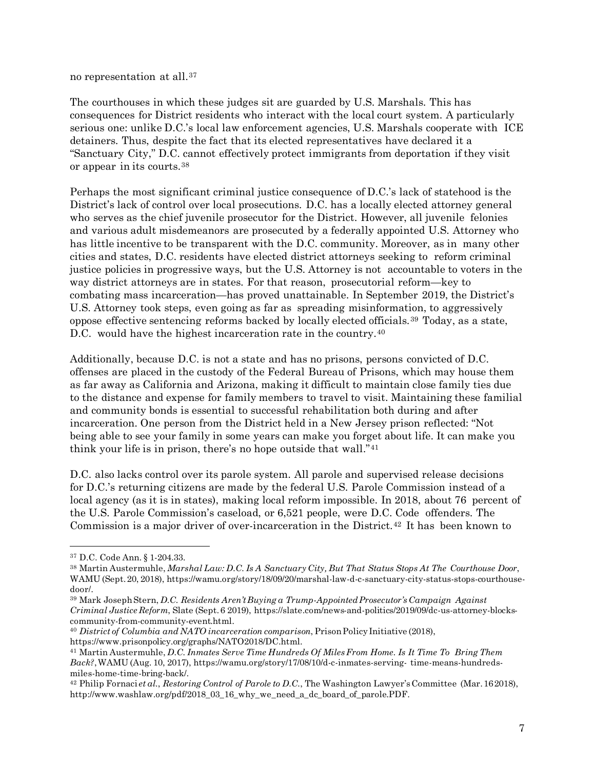no representation at all.[37](#page-6-0)

The courthouses in which these judges sit are guarded by U.S. Marshals. This has consequences for District residents who interact with the local court system. A particularly serious one: unlike D.C.'s local law enforcement agencies, U.S. Marshals cooperate with ICE detainers. Thus, despite the fact that its elected representatives have declared it a "Sanctuary City," D.C. cannot effectively protect immigrants from deportation if they visit or appear in its courts.[38](#page-6-1)

Perhaps the most significant criminal justice consequence of D.C.'s lack of statehood is the District's lack of control over local prosecutions. D.C. has a locally elected attorney general who serves as the chief juvenile prosecutor for the District. However, all juvenile felonies and various adult misdemeanors are prosecuted by a federally appointed U.S. Attorney who has little incentive to be transparent with the D.C. community. Moreover, as in many other cities and states, D.C. residents have elected district attorneys seeking to reform criminal justice policies in progressive ways, but the U.S. Attorney is not accountable to voters in the way district attorneys are in states. For that reason, prosecutorial reform—key to combating mass incarceration—has proved unattainable. In September 2019, the District's U.S. Attorney took steps, even going as far as spreading misinformation, to aggressively oppose effective sentencing reforms backed by locally elected officials.[39](#page-6-2) Today, as a state, D.C. would have the highest incarceration rate in the country.<sup>[40](#page-6-3)</sup>

Additionally, because D.C. is not a state and has no prisons, persons convicted of D.C. offenses are placed in the custody of the Federal Bureau of Prisons, which may house them as far away as California and Arizona, making it difficult to maintain close family ties due to the distance and expense for family members to travel to visit. Maintaining these familial and community bonds is essential to successful rehabilitation both during and after incarceration. One person from the District held in a New Jersey prison reflected: "Not being able to see your family in some years can make you forget about life. It can make you think your life is in prison, there's no hope outside that wall."[41](#page-6-4)

D.C. also lacks control over its parole system. All parole and supervised release decisions for D.C.'s returning citizens are made by the federal U.S. Parole Commission instead of a local agency (as it is in states), making local reform impossible. In 2018, about 76 percent of the U.S. Parole Commission's caseload, or 6,521 people, were D.C. Code offenders. The Commission is a major driver of over-incarceration in the District.[42](#page-6-5) It has been known to

<span id="page-6-0"></span><sup>37</sup> D.C. Code Ann. § 1-204.33.

<span id="page-6-1"></span><sup>38</sup> Martin Austermuhle, *Marshal Law: D.C. Is A Sanctuary City, But That Status Stops At The Courthouse Door*, WAMU (Sept.20, 2018), https://wamu.org/story/18/09/20/marshal-law-d-c-sanctuary-city-status-stops-courthousedoor/.

<span id="page-6-2"></span><sup>39</sup> Mark JosephStern, *D.C. Residents Aren'tBuying a Trump-AppointedProsecutor's Campaign Against Criminal Justice Reform*, Slate (Sept.6 2019), https://slate.com/news-and-politics/2019/09/dc-us-attorney-blockscommunity-from-community-event.html.

<span id="page-6-3"></span><sup>40</sup> *District of Columbia and NATO incarceration comparison*, PrisonPolicyInitiative (2018),

https:[//www.prisonpolicy.org/graphs/NATO2018/DC.html.](http://www.prisonpolicy.org/graphs/NATO2018/DC.html)

<span id="page-6-4"></span><sup>41</sup> Martin Austermuhle, *D.C. Inmates Serve Time Hundreds Of MilesFrom Home. Is It Time To Bring Them Back?*,WAMU (Aug. 10, 2017), https://wamu.org/story/17/08/10/d-c-inmates-serving- time-means-hundredsmiles-home-time-bring-back/.

<span id="page-6-5"></span><sup>42</sup> Philip Fornaci *et al.*, *Restoring Control of Parole to D.C.*, The Washington Lawyer'sCommittee (Mar.162018), [http://www.washlaw.org/pdf/2018\\_03\\_16\\_why\\_we\\_need\\_a\\_dc\\_board\\_of\\_parole.PDF.](http://www.washlaw.org/pdf/2018_03_16_why_we_need_a_dc_board_of_parole.PDF)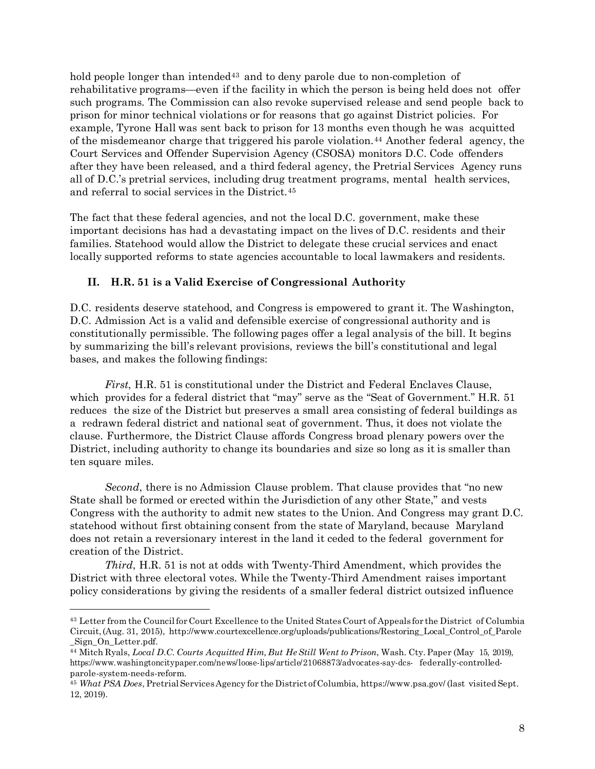hold people longer than intended<sup>[43](#page-7-0)</sup> and to deny parole due to non-completion of rehabilitative programs—even if the facility in which the person is being held does not offer such programs. The Commission can also revoke supervised release and send people back to prison for minor technical violations or for reasons that go against District policies. For example, Tyrone Hall was sent back to prison for 13 months even though he was acquitted of the misdemeanor charge that triggered his parole violation.<sup>[44](#page-7-1)</sup> Another federal agency, the Court Services and Offender Supervision Agency (CSOSA) monitors D.C. Code offenders after they have been released, and a third federal agency, the Pretrial Services Agency runs all of D.C.'s pretrial services, including drug treatment programs, mental health services, and referral to social services in the District.[45](#page-7-2)

The fact that these federal agencies, and not the local D.C. government, make these important decisions has had a devastating impact on the lives of D.C. residents and their families. Statehood would allow the District to delegate these crucial services and enact locally supported reforms to state agencies accountable to local lawmakers and residents.

## **II. H.R. 51 is a Valid Exercise of Congressional Authority**

D.C. residents deserve statehood, and Congress is empowered to grant it. The Washington, D.C. Admission Act is a valid and defensible exercise of congressional authority and is constitutionally permissible. The following pages offer a legal analysis of the bill. It begins by summarizing the bill's relevant provisions, reviews the bill's constitutional and legal bases, and makes the following findings:

*First*, H.R. 51 is constitutional under the District and Federal Enclaves Clause, which provides for a federal district that "may" serve as the "Seat of Government." H.R. 51 reduces the size of the District but preserves a small area consisting of federal buildings as a redrawn federal district and national seat of government. Thus, it does not violate the clause. Furthermore, the District Clause affords Congress broad plenary powers over the District, including authority to change its boundaries and size so long as it is smaller than ten square miles.

*Second*, there is no Admission Clause problem. That clause provides that "no new State shall be formed or erected within the Jurisdiction of any other State," and vests Congress with the authority to admit new states to the Union. And Congress may grant D.C. statehood without first obtaining consent from the state of Maryland, because Maryland does not retain a reversionary interest in the land it ceded to the federal government for creation of the District.

*Third*, H.R. 51 is not at odds with Twenty-Third Amendment, which provides the District with three electoral votes. While the Twenty-Third Amendment raises important policy considerations by giving the residents of a smaller federal district outsized influence

<span id="page-7-0"></span><sup>&</sup>lt;sup>43</sup> Letter from the Council for Court Excellence to the United States Court of Appeals for the District of Columbia Circuit,(Aug. 31, 2015), [http://www.courtexcellence.org/uploads/publications/Restoring\\_Local\\_Control\\_of\\_Parole](http://www.courtexcellence.org/uploads/publications/Restoring_Local_Control_of_Parole) \_Sign\_On\_Letter.pdf.

<span id="page-7-1"></span><sup>44</sup> Mitch Ryals, *Local D.C. Courts Acquitted Him, But HeStill Went to Prison*, Wash. Cty. Paper (May 15, 2019), https://[www.washingtoncitypaper.com/news/loose-lips/article/21068873/advocates-say-dcs-](http://www.washingtoncitypaper.com/news/loose-lips/article/21068873/advocates-say-dcs-) federally-controlledparole-system-needs-reform.

<span id="page-7-2"></span><sup>45</sup> *What PSA Does*, PretrialServicesAgency for the District ofColumbia, https:[//www.psa.gov/](http://www.psa.gov/) (last visited Sept. 12, 2019).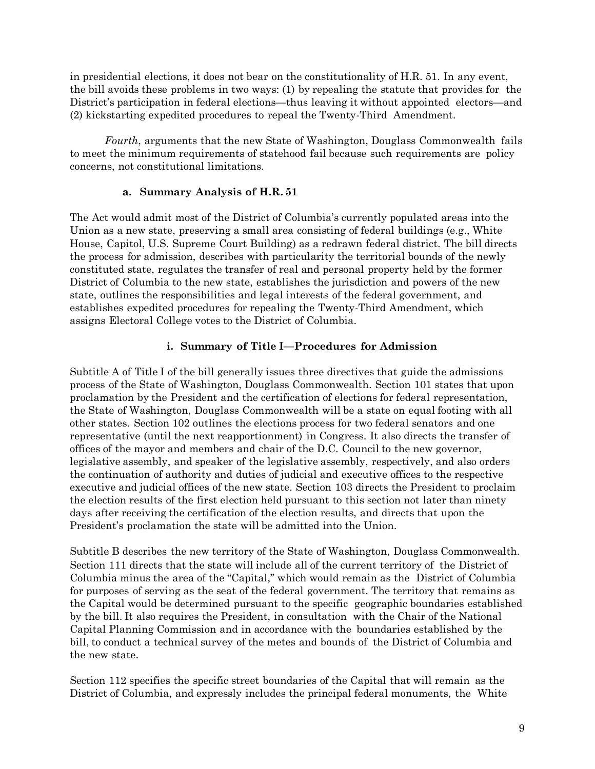in presidential elections, it does not bear on the constitutionality of H.R. 51. In any event, the bill avoids these problems in two ways: (1) by repealing the statute that provides for the District's participation in federal elections—thus leaving it without appointed electors—and (2) kickstarting expedited procedures to repeal the Twenty-Third Amendment.

*Fourth*, arguments that the new State of Washington, Douglass Commonwealth fails to meet the minimum requirements of statehood fail because such requirements are policy concerns, not constitutional limitations.

#### **a. Summary Analysis of H.R. 51**

The Act would admit most of the District of Columbia's currently populated areas into the Union as a new state, preserving a small area consisting of federal buildings (e.g., White House, Capitol, U.S. Supreme Court Building) as a redrawn federal district. The bill directs the process for admission, describes with particularity the territorial bounds of the newly constituted state, regulates the transfer of real and personal property held by the former District of Columbia to the new state, establishes the jurisdiction and powers of the new state, outlines the responsibilities and legal interests of the federal government, and establishes expedited procedures for repealing the Twenty-Third Amendment, which assigns Electoral College votes to the District of Columbia.

# **i. Summary of Title I—Procedures for Admission**

Subtitle A of Title I of the bill generally issues three directives that guide the admissions process of the State of Washington, Douglass Commonwealth. Section 101 states that upon proclamation by the President and the certification of elections for federal representation, the State of Washington, Douglass Commonwealth will be a state on equal footing with all other states. Section 102 outlines the elections process for two federal senators and one representative (until the next reapportionment) in Congress. It also directs the transfer of offices of the mayor and members and chair of the D.C. Council to the new governor, legislative assembly, and speaker of the legislative assembly, respectively, and also orders the continuation of authority and duties of judicial and executive offices to the respective executive and judicial offices of the new state. Section 103 directs the President to proclaim the election results of the first election held pursuant to this section not later than ninety days after receiving the certification of the election results, and directs that upon the President's proclamation the state will be admitted into the Union.

Subtitle B describes the new territory of the State of Washington, Douglass Commonwealth. Section 111 directs that the state will include all of the current territory of the District of Columbia minus the area of the "Capital," which would remain as the District of Columbia for purposes of serving as the seat of the federal government. The territory that remains as the Capital would be determined pursuant to the specific geographic boundaries established by the bill. It also requires the President, in consultation with the Chair of the National Capital Planning Commission and in accordance with the boundaries established by the bill, to conduct a technical survey of the metes and bounds of the District of Columbia and the new state.

Section 112 specifies the specific street boundaries of the Capital that will remain as the District of Columbia, and expressly includes the principal federal monuments, the White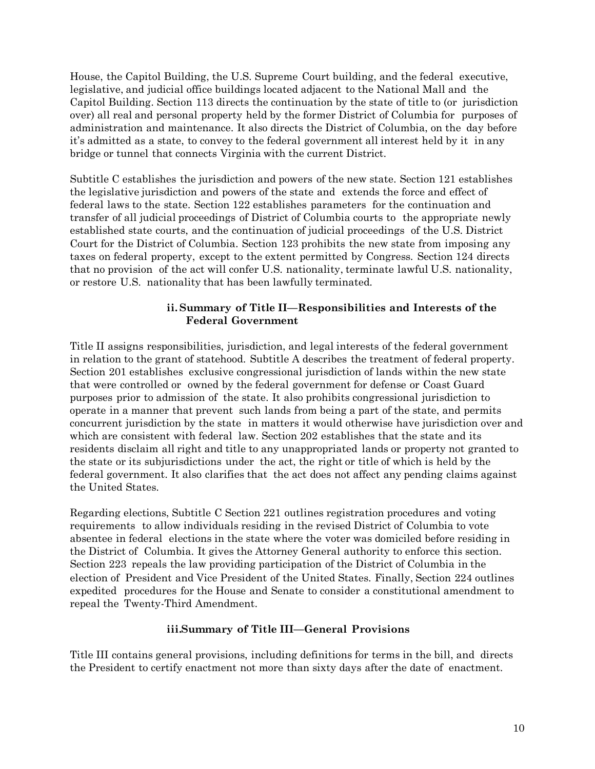House, the Capitol Building, the U.S. Supreme Court building, and the federal executive, legislative, and judicial office buildings located adjacent to the National Mall and the Capitol Building. Section 113 directs the continuation by the state of title to (or jurisdiction over) all real and personal property held by the former District of Columbia for purposes of administration and maintenance. It also directs the District of Columbia, on the day before it's admitted as a state, to convey to the federal government all interest held by it in any bridge or tunnel that connects Virginia with the current District.

Subtitle C establishes the jurisdiction and powers of the new state. Section 121 establishes the legislative jurisdiction and powers of the state and extends the force and effect of federal laws to the state. Section 122 establishes parameters for the continuation and transfer of all judicial proceedings of District of Columbia courts to the appropriate newly established state courts, and the continuation of judicial proceedings of the U.S. District Court for the District of Columbia. Section 123 prohibits the new state from imposing any taxes on federal property, except to the extent permitted by Congress. Section 124 directs that no provision of the act will confer U.S. nationality, terminate lawful U.S. nationality, or restore U.S. nationality that has been lawfully terminated.

## **ii.Summary of Title II—Responsibilities and Interests of the Federal Government**

Title II assigns responsibilities, jurisdiction, and legal interests of the federal government in relation to the grant of statehood. Subtitle A describes the treatment of federal property. Section 201 establishes exclusive congressional jurisdiction of lands within the new state that were controlled or owned by the federal government for defense or Coast Guard purposes prior to admission of the state. It also prohibits congressional jurisdiction to operate in a manner that prevent such lands from being a part of the state, and permits concurrent jurisdiction by the state in matters it would otherwise have jurisdiction over and which are consistent with federal law. Section 202 establishes that the state and its residents disclaim all right and title to any unappropriated lands or property not granted to the state or its subjurisdictions under the act, the right or title of which is held by the federal government. It also clarifies that the act does not affect any pending claims against the United States.

Regarding elections, Subtitle C Section 221 outlines registration procedures and voting requirements to allow individuals residing in the revised District of Columbia to vote absentee in federal elections in the state where the voter was domiciled before residing in the District of Columbia. It gives the Attorney General authority to enforce this section. Section 223 repeals the law providing participation of the District of Columbia in the election of President and Vice President of the United States. Finally, Section 224 outlines expedited procedures for the House and Senate to consider a constitutional amendment to repeal the Twenty-Third Amendment.

## **iii.Summary of Title III—General Provisions**

Title III contains general provisions, including definitions for terms in the bill, and directs the President to certify enactment not more than sixty days after the date of enactment.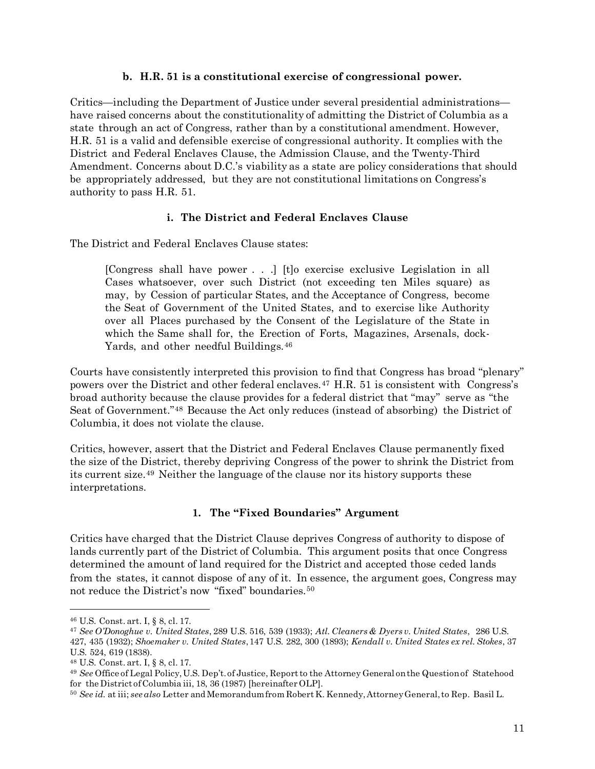#### **b. H.R. 51 is a constitutional exercise of congressional power.**

Critics—including the Department of Justice under several presidential administrations have raised concerns about the constitutionality of admitting the District of Columbia as a state through an act of Congress, rather than by a constitutional amendment. However, H.R. 51 is a valid and defensible exercise of congressional authority. It complies with the District and Federal Enclaves Clause, the Admission Clause, and the Twenty-Third Amendment. Concerns about D.C.'s viability as a state are policy considerations that should be appropriately addressed, but they are not constitutional limitations on Congress's authority to pass H.R. 51.

## **i. The District and Federal Enclaves Clause**

The District and Federal Enclaves Clause states:

[Congress shall have power . . .] [t]o exercise exclusive Legislation in all Cases whatsoever, over such District (not exceeding ten Miles square) as may, by Cession of particular States, and the Acceptance of Congress, become the Seat of Government of the United States, and to exercise like Authority over all Places purchased by the Consent of the Legislature of the State in which the Same shall for, the Erection of Forts, Magazines, Arsenals, dock-Yards, and other needful Buildings.<sup>[46](#page-10-0)</sup>

Courts have consistently interpreted this provision to find that Congress has broad "plenary" powers over the District and other federal enclaves.<sup>[47](#page-10-1)</sup> H.R. 51 is consistent with Congress's broad authority because the clause provides for a federal district that "may" serve as "the Seat of Government."[48](#page-10-2) Because the Act only reduces (instead of absorbing) the District of Columbia, it does not violate the clause.

Critics, however, assert that the District and Federal Enclaves Clause permanently fixed the size of the District, thereby depriving Congress of the power to shrink the District from its current size.[49](#page-10-3) Neither the language of the clause nor its history supports these interpretations.

## **1. The "Fixed Boundaries" Argument**

Critics have charged that the District Clause deprives Congress of authority to dispose of lands currently part of the District of Columbia. This argument posits that once Congress determined the amount of land required for the District and accepted those ceded lands from the states, it cannot dispose of any of it. In essence, the argument goes, Congress may not reduce the District's now "fixed" boundaries.<sup>[50](#page-10-4)</sup>

<span id="page-10-0"></span><sup>46</sup> U.S. Const. art. I, § 8, cl. 17.

<span id="page-10-1"></span><sup>47</sup> *See O'Donoghue v. United States*, 289 U.S. 516, 539 (1933); *Atl. Cleaners & Dyers v. United States*, 286 U.S. 427, 435 (1932); *Shoemaker v. United States*,147 U.S. 282, 300 (1893); *Kendall v. United States ex rel. Stokes*, 37 U.S. 524, 619 (1838).

<span id="page-10-2"></span><sup>48</sup> U.S. Const. art. I, § 8, cl. 17.

<span id="page-10-3"></span><sup>49</sup> *See* Office of Legal Policy,U.S. Dep't.of Justice, Reportto the Attorney General onthe Questionof Statehood for the District of Columbia iii, 18, 36 (1987) [hereinafter OLP].

<span id="page-10-4"></span><sup>50</sup> *See id.* at iii; *see also* Letter and Memorandumfrom RobertK. Kennedy,AttorneyGeneral,to Rep. Basil L.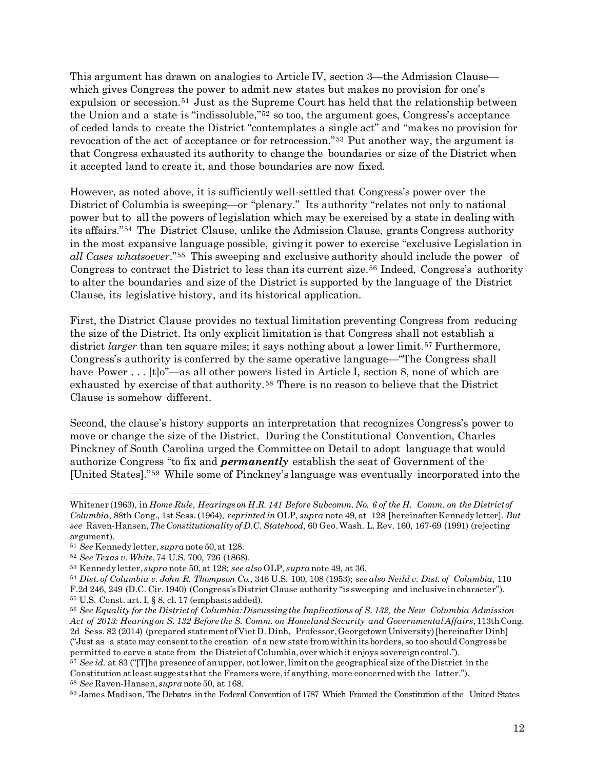This argument has drawn on analogies to Article IV, section 3—the Admission Clause which gives Congress the power to admit new states but makes no provision for one's expulsion or secession.[51](#page-11-0) Just as the Supreme Court has held that the relationship between the Union and a state is "indissoluble,"[52](#page-11-1) so too, the argument goes, Congress's acceptance of ceded lands to create the District "contemplates a single act" and "makes no provision for revocation of the act of acceptance or for retrocession."[53](#page-11-2) Put another way, the argument is that Congress exhausted its authority to change the boundaries or size of the District when it accepted land to create it, and those boundaries are now fixed.

However, as noted above, it is sufficiently well-settled that Congress's power over the District of Columbia is sweeping—or "plenary." Its authority "relates not only to national power but to all the powers of legislation which may be exercised by a state in dealing with its affairs."[54](#page-11-3) The District Clause, unlike the Admission Clause, grants Congress authority in the most expansive language possible, giving it power to exercise "exclusive Legislation in *all Cases whatsoever*."[55](#page-11-4) This sweeping and exclusive authority should include the power of Congress to contract the District to less than its current size.[56](#page-11-5) Indeed, Congress's authority to alter the boundaries and size of the District is supported by the language of the District Clause, its legislative history, and its historical application.

First, the District Clause provides no textual limitation preventing Congress from reducing the size of the District. Its only explicit limitation is that Congress shall not establish a district *larger* than ten square miles; it says nothing about a lower limit.<sup>[57](#page-11-6)</sup> Furthermore, Congress's authority is conferred by the same operative language—"The Congress shall have Power . . . [t]o"—as all other powers listed in Article I, section 8, none of which are exhausted by exercise of that authority.[58](#page-11-7) There is no reason to believe that the District Clause is somehow different.

Second, the clause's history supports an interpretation that recognizes Congress's power to move or change the size of the District. During the Constitutional Convention, Charles Pinckney of South Carolina urged the Committee on Detail to adopt language that would authorize Congress "to fix and *permanently* establish the seat of Government of the [United States]."[59](#page-11-8) While some of Pinckney's language was eventually incorporated into the

 $\overline{a}$ 

<span id="page-11-6"></span><sup>57</sup> *See id.* at 83 ("[T]he presence of anupper, notlower,limit on the geographical size of the District in the Constitution at least suggests that the Framers were, if anything, more concerned with the latter."). <sup>58</sup> *See* Raven-Hansen, *supra* note 50, at 168.

Whitener (1963), in Home Rule, Hearings on H.R. 141 Before Subcomm. No. 6 of the H. Comm. on the Districtof *Columbia*, 88th Cong., 1st Sess. (1964), *reprinted in* OLP, *supra* note 49, at 128 [hereinafter Kennedyletter]. *But see* Raven-Hansen,*The Constitutionality of D.C. Statehood*, 60 Geo.Wash. L. Rev. 160, 167-69 (1991) (rejecting argument).

<span id="page-11-0"></span><sup>51</sup> *See* Kennedyletter, *supra* note 50,at 128.

<span id="page-11-1"></span><sup>52</sup> *See Texas v. White*,74 U.S. 700, 726 (1868).

<span id="page-11-2"></span><sup>53</sup> Kennedyletter, *supra* note 50, at 128; *see also* OLP, *supra* note 49, at 36.

<span id="page-11-3"></span><sup>54</sup> *Dist. of Columbia v. John R. Thompson Co.*, 346 U.S. 100, 108 (1953); *see also Neild v. Dist. of Columbia*, 110 F.2d 246, 249 (D.C. Cir.1940) (Congress'sDistrict Clause authority "is sweeping and inclusive incharacter").

<span id="page-11-4"></span><sup>55</sup> U.S. Const. art. I, § 8, cl. 17 (emphasisadded).

<span id="page-11-5"></span><sup>56</sup> *See Equality for the Districtof Columbia:Discussingthe Implications of S. 132, the New Columbia Admission Act of 2013: Hearingon S. 132 Before the S. Comm. on Homeland Security and GovernmentalAffairs*,113thCong. 2d Sess. 82 (2014) (prepared statement ofVietD. Dinh, Professor,GeorgetownUniversity)[hereinafterDinh] ("Just as a state may consentto the creation of a new state fromwithinitsborders, so too should Congressbe permitted to carve a state from the District ofColumbia,over whichit enjoys sovereigncontrol.").

<span id="page-11-8"></span><span id="page-11-7"></span><sup>59</sup> James Madison, The Debates inthe Federal Convention of1787 Which Framed the Constitution of the United States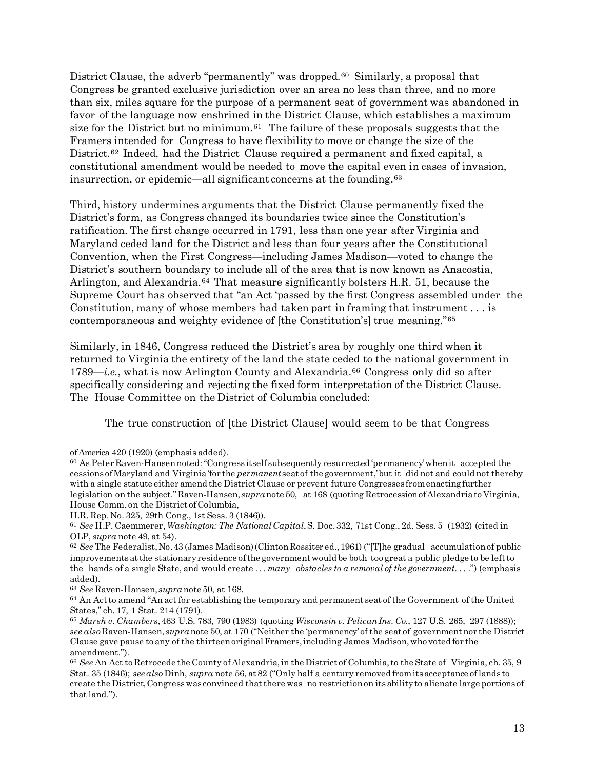District Clause, the adverb "permanently" was dropped.<sup>[60](#page-12-0)</sup> Similarly, a proposal that Congress be granted exclusive jurisdiction over an area no less than three, and no more than six, miles square for the purpose of a permanent seat of government was abandoned in favor of the language now enshrined in the District Clause, which establishes a maximum size for the District but no minimum. $61$  The failure of these proposals suggests that the Framers intended for Congress to have flexibility to move or change the size of the District.<sup>[62](#page-12-2)</sup> Indeed, had the District Clause required a permanent and fixed capital, a constitutional amendment would be needed to move the capital even in cases of invasion, insurrection, or epidemic—all significant concerns at the founding.[63](#page-12-3)

Third, history undermines arguments that the District Clause permanently fixed the District's form, as Congress changed its boundaries twice since the Constitution's ratification. The first change occurred in 1791, less than one year after Virginia and Maryland ceded land for the District and less than four years after the Constitutional Convention, when the First Congress—including James Madison—voted to change the District's southern boundary to include all of the area that is now known as Anacostia, Arlington, and Alexandria.[64](#page-12-4) That measure significantly bolsters H.R. 51, because the Supreme Court has observed that "an Act 'passed by the first Congress assembled under the Constitution, many of whose members had taken part in framing that instrument . . . is contemporaneous and weighty evidence of [the Constitution's] true meaning."[65](#page-12-5)

Similarly, in 1846, Congress reduced the District's area by roughly one third when it returned to Virginia the entirety of the land the state ceded to the national government in 1789—*i.e.*, what is now Arlington County and Alexandria.[66](#page-12-6) Congress only did so after specifically considering and rejecting the fixed form interpretation of the District Clause. The House Committee on the District of Columbia concluded:

The true construction of [the District Clause] would seem to be that Congress

ofAmerica 420 (1920) (emphasis added).

<span id="page-12-0"></span><sup>60</sup> As Peter Raven-Hansennoted:"Congress itself subsequentlyresurrected 'permanency'whenit accepted the cessions ofMaryland and Virginia'for the *permanent*seat of the government,'but it did not and could not thereby with a single statute either amend the District Clause or prevent future Congresses fromenactingfurther legislation on the subject."Raven-Hansen, *supra* note 50, at 168 (quoting RetrocessionofAlexandriato Virginia, House Comm. on the District of Columbia,

H.R. Rep.No. 325, 29th Cong., 1st Sess. 3 (1846)).

<span id="page-12-1"></span><sup>61</sup> *See* H.P. Caemmerer,*Washington: The NationalCapital*,S. Doc.332, 71st Cong., 2d. Sess. 5 (1932) (cited in OLP, *supra* note 49, at 54).

<span id="page-12-2"></span><sup>62</sup> *See* The Federalist,No.43 (James Madison)(ClintonRossiter ed.,1961) ("[T]he gradual accumulationof public improvementsatthe stationaryresidence ofthe governmentwould be both too great a public pledge to be leftto the hands of a single State, and would create . . . *many obstacles to a removal of the government*. . . .") (emphasis added).

<span id="page-12-3"></span><sup>63</sup> *See* Raven-Hansen, *supra* note 50, at 168.

<span id="page-12-4"></span><sup>64</sup> An Actto amend "An act for establishing the temporary and permanent seat of the Government of the United States," ch. 17, 1 Stat. 214 (1791).

<span id="page-12-5"></span><sup>65</sup> *Marsh v. Chambers*,463 U.S. 783, 790 (1983) (quoting *Wisconsin v. PelicanIns. Co.*, 127 U.S. 265, 297 (1888)); *see also* Raven-Hansen, *supra* note 50, at 170 ("Neither the 'permanency' of the seat of governmentnor the District Clause gave pause to any of the thirteen original Framers, including James Madison, who voted for the amendment.").

<span id="page-12-6"></span><sup>66</sup> *See* An Act to Retrocede the County ofAlexandria,in the District of Columbia,to the State of Virginia, ch. 35, 9 Stat. 35 (1846); *see also* Dinh, *supra* note 56, at 82 ("Only half a century removed fromitsacceptance oflands to create the District,Congresswas convinced thatthere was no restrictionon itsabilityto alienate large portions of that land.").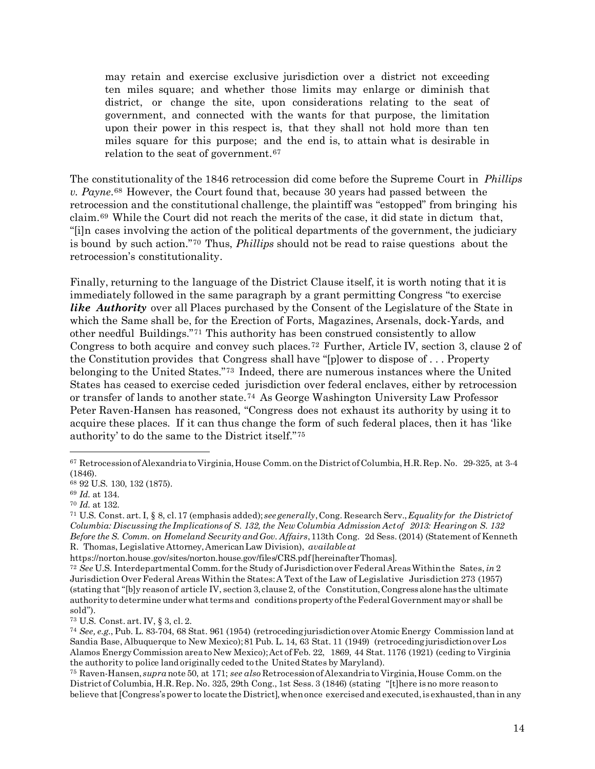may retain and exercise exclusive jurisdiction over a district not exceeding ten miles square; and whether those limits may enlarge or diminish that district, or change the site, upon considerations relating to the seat of government, and connected with the wants for that purpose, the limitation upon their power in this respect is, that they shall not hold more than ten miles square for this purpose; and the end is, to attain what is desirable in relation to the seat of government.<sup>[67](#page-13-0)</sup>

The constitutionality of the 1846 retrocession did come before the Supreme Court in *Phillips v. Payne*.[68](#page-13-1) However, the Court found that, because 30 years had passed between the retrocession and the constitutional challenge, the plaintiff was "estopped" from bringing his claim.[69](#page-13-2) While the Court did not reach the merits of the case, it did state in dictum that, "[i]n cases involving the action of the political departments of the government, the judiciary is bound by such action."[70](#page-13-3) Thus, *Phillips* should not be read to raise questions about the retrocession's constitutionality.

Finally, returning to the language of the District Clause itself, it is worth noting that it is immediately followed in the same paragraph by a grant permitting Congress "to exercise *like Authority* over all Places purchased by the Consent of the Legislature of the State in which the Same shall be, for the Erection of Forts, Magazines, Arsenals, dock-Yards, and other needful Buildings."[71](#page-13-4) This authority has been construed consistently to allow Congress to both acquire and convey such places.[72](#page-13-5) Further, Article IV, section 3, clause 2 of the Constitution provides that Congress shall have "[p]ower to dispose of . . . Property belonging to the United States."[73](#page-13-6) Indeed, there are numerous instances where the United States has ceased to exercise ceded jurisdiction over federal enclaves, either by retrocession or transfer of lands to another state.[74](#page-13-7) As George Washington University Law Professor Peter Raven-Hansen has reasoned, "Congress does not exhaust its authority by using it to acquire these places. If it can thus change the form of such federal places, then it has 'like authority' to do the same to the District itself."[75](#page-13-8)

 $\overline{\phantom{a}}$ 

<span id="page-13-6"></span><sup>73</sup> U.S. Const. art. IV, § 3, cl. 2.

<span id="page-13-0"></span><sup>67</sup> RetrocessionofAlexandriato Virginia,House Comm.on the District ofColumbia,H.R.Rep. No. 29-325, at 3-4 (1846).

<span id="page-13-1"></span><sup>68</sup> 92 U.S. 130, 132 (1875).

<span id="page-13-2"></span><sup>69</sup> *Id.* at 134.

<span id="page-13-3"></span><sup>70</sup> *Id.* at 132.

<span id="page-13-4"></span><sup>71</sup> U.S. Const. art. I, § 8, cl.17 (emphasis added); *see generally*,Cong. Research Serv.,*Equality for the Districtof Columbia: Discussing the Implications of S. 132, the NewColumbia Admission Actof 2013: Hearingon S. 132 Before the S. Comm. on Homeland Security andGov. Affairs*,113th Cong. 2d Sess. (2014) (Statement of Kenneth R. Thomas, Legislative Attorney,AmericanLaw Division), *available at*

https://norton.house.gov/sites/norton.house.gov/files/CRS.pdf[hereinafterThomas].

<span id="page-13-5"></span><sup>72</sup> *See* U.S. Interdepartmental Comm.for the Study of JurisdictionoverFederal AreasWithinthe Sates, *in* 2 Jurisdiction OverFederal Areas Within the States:A Text of the Law of Legislative Jurisdiction 273 (1957) (stating that "[b]y reasonof article IV, section 3, clause 2, of the Constitution,Congressalone has the ultimate authority to determine under what terms and conditions property of the Federal Government may or shall be sold").

<span id="page-13-7"></span><sup>74</sup> *See, e.g.*, Pub. L. 83-704, 68 Stat. 961 (1954) (retrocedingjurisdictionover Atomic Energy Commission land at Sandia Base, Albuquerque to New Mexico);81 Pub. L. 14, 63 Stat. 11 (1949) (retrocedingjurisdictionoverLos Alamos EnergyCommission areato New Mexico);Act ofFeb. 22, 1869, 44 Stat. 1176 (1921) (ceding to Virginia the authority to police land originally ceded to the United States by Maryland).

<span id="page-13-8"></span><sup>75</sup> Raven-Hansen, *supra* note 50, at 171; *see also* RetrocessionofAlexandriato Virginia,House Comm.on the District of Columbia, H.R.Rep. No. 325, 29th Cong., 1st Sess. 3 (1846) (stating "[t]here isno more reasonto believe that [Congress's power to locate the District], when once exercised and executed, is exhausted, than in any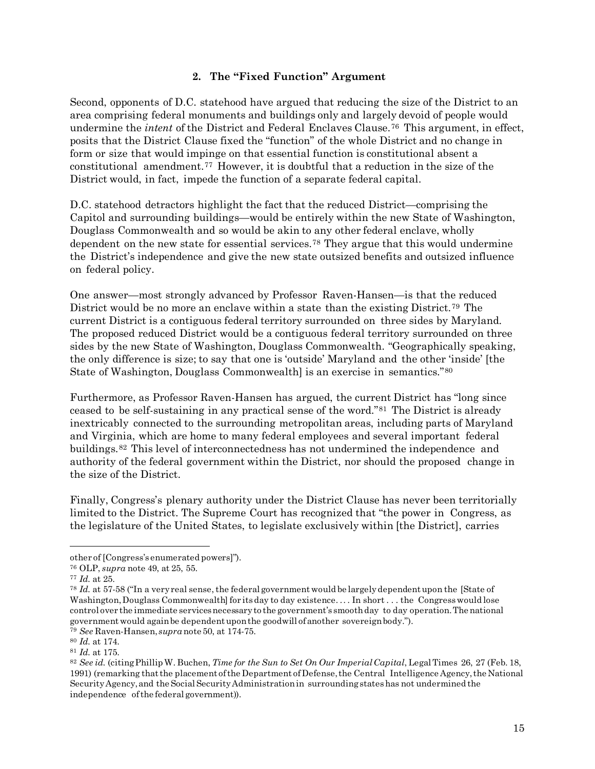#### **2. The "Fixed Function" Argument**

Second, opponents of D.C. statehood have argued that reducing the size of the District to an area comprising federal monuments and buildings only and largely devoid of people would undermine the *intent* of the District and Federal Enclaves Clause.[76](#page-14-0) This argument, in effect, posits that the District Clause fixed the "function" of the whole District and no change in form or size that would impinge on that essential function is constitutional absent a constitutional amendment.[77](#page-14-1) However, it is doubtful that a reduction in the size of the District would, in fact, impede the function of a separate federal capital.

D.C. statehood detractors highlight the fact that the reduced District—comprising the Capitol and surrounding buildings—would be entirely within the new State of Washington, Douglass Commonwealth and so would be akin to any other federal enclave, wholly dependent on the new state for essential services.[78](#page-14-2) They argue that this would undermine the District's independence and give the new state outsized benefits and outsized influence on federal policy.

One answer—most strongly advanced by Professor Raven-Hansen—is that the reduced District would be no more an enclave within a state than the existing District.[79](#page-14-3) The current District is a contiguous federal territory surrounded on three sides by Maryland. The proposed reduced District would be a contiguous federal territory surrounded on three sides by the new State of Washington, Douglass Commonwealth. "Geographically speaking, the only difference is size; to say that one is 'outside' Maryland and the other 'inside' [the State of Washington, Douglass Commonwealth] is an exercise in semantics."[80](#page-14-4)

Furthermore, as Professor Raven-Hansen has argued, the current District has "long since ceased to be self-sustaining in any practical sense of the word."[81](#page-14-5) The District is already inextricably connected to the surrounding metropolitan areas, including parts of Maryland and Virginia, which are home to many federal employees and several important federal buildings.[82](#page-14-6) This level of interconnectedness has not undermined the independence and authority of the federal government within the District, nor should the proposed change in the size of the District.

Finally, Congress's plenary authority under the District Clause has never been territorially limited to the District. The Supreme Court has recognized that "the power in Congress, as the legislature of the United States, to legislate exclusively within [the District], carries

other of [Congress's enumerated powers]").

<span id="page-14-0"></span><sup>76</sup> OLP, *supra* note 49, at 25, 55.

<span id="page-14-1"></span><sup>77</sup> *Id.* at 25.

<span id="page-14-2"></span><sup>&</sup>lt;sup>78</sup> *Id.* at 57-58 ("In a very real sense, the federal government would be largely dependent upon the [State of Washington, Douglass Commonwealth for its day to day existence.... In short ... the Congress would lose control over the immediate services necessary to the government's smooth day to day operation. The national governmentwould againbe dependentuponthe goodwill ofanother sovereignbody.").

<span id="page-14-3"></span><sup>79</sup> *See* Raven-Hansen, *supra* note 50, at 174-75.

<span id="page-14-4"></span><sup>80</sup> *Id.* at 174.

<span id="page-14-5"></span><sup>81</sup> *Id.* at 175.

<span id="page-14-6"></span><sup>82</sup> *See id.* (citingPhillipW. Buchen, *Time for the Sun to Set On Our ImperialCapital*, LegalTimes 26, 27 (Feb. 18, 1991) (remarking thatthe placement ofthe Department ofDefense,the Central Intelligence Agency,the National SecurityAgency,and the SocialSecurityAdministrationin surroundingstateshas not undermined the independence ofthe federal government)).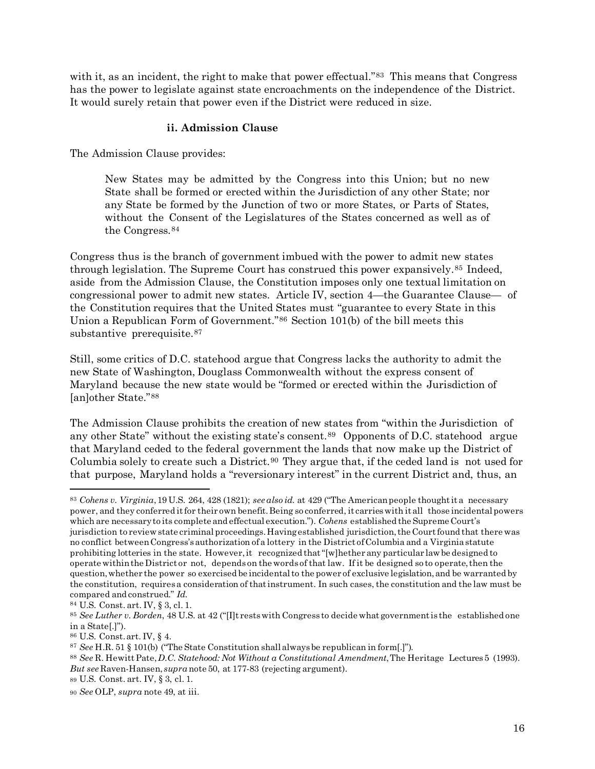with it, as an incident, the right to make that power effectual."<sup>[83](#page-15-0)</sup> This means that Congress has the power to legislate against state encroachments on the independence of the District. It would surely retain that power even if the District were reduced in size.

#### **ii. Admission Clause**

The Admission Clause provides:

New States may be admitted by the Congress into this Union; but no new State shall be formed or erected within the Jurisdiction of any other State; nor any State be formed by the Junction of two or more States, or Parts of States, without the Consent of the Legislatures of the States concerned as well as of the Congress.[84](#page-15-1)

Congress thus is the branch of government imbued with the power to admit new states through legislation. The Supreme Court has construed this power expansively.[85](#page-15-2) Indeed, aside from the Admission Clause, the Constitution imposes only one textual limitation on congressional power to admit new states. Article IV, section 4—the Guarantee Clause— of the Constitution requires that the United States must "guarantee to every State in this Union a Republican Form of Government."[86](#page-15-3) Section 101(b) of the bill meets this substantive prerequisite.<sup>[87](#page-15-4)</sup>

Still, some critics of D.C. statehood argue that Congress lacks the authority to admit the new State of Washington, Douglass Commonwealth without the express consent of Maryland because the new state would be "formed or erected within the Jurisdiction of [an]other State."[88](#page-15-5)

The Admission Clause prohibits the creation of new states from "within the Jurisdiction of any other State" without the existing state's consent.<sup>[89](#page-15-6)</sup> Opponents of D.C. statehood argue that Maryland ceded to the federal government the lands that now make up the District of Columbia solely to create such a District.<sup>[90](#page-15-7)</sup> They argue that, if the ceded land is not used for that purpose, Maryland holds a "reversionary interest" in the current District and, thus, an

<span id="page-15-0"></span><sup>83</sup> *Cohens v. Virginia*,19 U.S. 264, 428 (1821); *see also id.* at 429 ("The Americanpeople thoughtit a necessary power, and they conferred itfor their own benefit.Being so conferred, it carrieswith it all those incidental powers which are necessaryto its complete and effectual execution."). *Cohens* established the Supreme Court's jurisdiction to review state criminal proceedings.Havingestablished jurisdiction,the Courtfound that there was no conflict betweenCongress'sauthorization ofa lottery in the District ofColumbia and a Virginiastatute prohibiting lotteries in the state. However,it recognized that"[w]hether any particular law be designed to operate withinthe District or not, depends on the words of that law. If it be designed so to operate,then the question,whether the power so exercised be incidentalto the power of exclusive legislation,and be warranted by the constitution, requires a consideration of that instrument. In such cases, the constitution and the law must be compared and construed." *Id.*

<span id="page-15-1"></span><sup>84</sup> U.S. Const. art. IV, § 3, cl. 1.

<span id="page-15-2"></span><sup>85</sup> *See Luther v. Borden*, 48 U.S. at 42 ("[I]t restswith Congress to decide what governmentis the established one in a State[.]").

<span id="page-15-3"></span><sup>86</sup> U.S. Const.art. IV, § 4.

<span id="page-15-4"></span><sup>87</sup> *See* H.R. 51 § 101(b) ("The State Constitution shall alwaysbe republican in form[.]").

<span id="page-15-5"></span><sup>88</sup> *See* R. HewittPate,*D.C. Statehood: Not Without a Constitutional Amendment*,The Heritage Lectures5 (1993). *But see* Raven-Hansen, *supra* note 50, at 177-83 (rejecting argument).

<span id="page-15-6"></span><sup>89</sup> U.S. Const. art. IV, § 3, cl. 1.

<span id="page-15-7"></span><sup>90</sup> *See* OLP, *supra* note 49, at iii.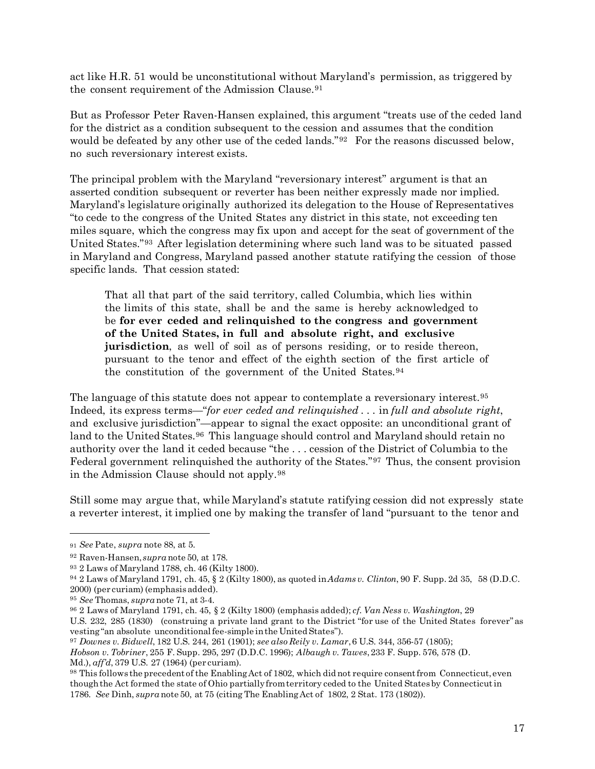act like H.R. 51 would be unconstitutional without Maryland's permission, as triggered by the consent requirement of the Admission Clause.<sup>[91](#page-16-0)</sup>

But as Professor Peter Raven-Hansen explained, this argument "treats use of the ceded land for the district as a condition subsequent to the cession and assumes that the condition would be defeated by any other use of the ceded lands."<sup>[92](#page-16-1)</sup> For the reasons discussed below, no such reversionary interest exists.

The principal problem with the Maryland "reversionary interest" argument is that an asserted condition subsequent or reverter has been neither expressly made nor implied. Maryland's legislature originally authorized its delegation to the House of Representatives "to cede to the congress of the United States any district in this state, not exceeding ten miles square, which the congress may fix upon and accept for the seat of government of the United States."[93](#page-16-2) After legislation determining where such land was to be situated passed in Maryland and Congress, Maryland passed another statute ratifying the cession of those specific lands. That cession stated:

That all that part of the said territory, called Columbia, which lies within the limits of this state, shall be and the same is hereby acknowledged to be **for ever ceded and relinquished to the congress and government of the United States, in full and absolute right, and exclusive jurisdiction**, as well of soil as of persons residing, or to reside thereon, pursuant to the tenor and effect of the eighth section of the first article of the constitution of the government of the United States.[94](#page-16-3)

The language of this statute does not appear to contemplate a reversionary interest.<sup>[95](#page-16-4)</sup> Indeed, its express terms—"*for ever ceded and relinquished* . . . in *full and absolute right*, and exclusive jurisdiction"—appear to signal the exact opposite: an unconditional grant of land to the United States.<sup>[96](#page-16-5)</sup> This language should control and Maryland should retain no authority over the land it ceded because "the . . . cession of the District of Columbia to the Federal government relinquished the authority of the States."[97](#page-16-6) Thus, the consent provision in the Admission Clause should not apply.[98](#page-16-7)

Still some may argue that, while Maryland's statute ratifying cession did not expressly state a reverter interest, it implied one by making the transfer of land "pursuant to the tenor and

 $\overline{\phantom{a}}$ 

*Hobson v. Tobriner*, 255 F. Supp. 295, 297 (D.D.C. 1996); *Albaugh v. Tawes*,233 F. Supp. 576, 578 (D. Md.), *aff'd*, 379 U.S. 27 (1964) (per curiam).

<span id="page-16-0"></span><sup>91</sup> *See* Pate, *supra* note 88, at 5.

<span id="page-16-1"></span><sup>92</sup> Raven-Hansen, *supra* note 50, at 178.

<span id="page-16-2"></span><sup>93</sup> 2 Laws of Maryland 1788, ch. 46 (Kilty 1800).

<span id="page-16-3"></span><sup>94</sup> 2 Laws of Maryland 1791, ch. 45, § 2 (Kilty 1800), as quoted in*Adams v. Clinton*, 90 F. Supp. 2d 35, 58 (D.D.C. 2000) (per curiam) (emphasisadded).

<span id="page-16-4"></span><sup>95</sup> *See* Thomas, *supra* note 71, at 3-4.

<span id="page-16-5"></span><sup>96</sup> 2 Laws of Maryland 1791, ch. 45, § 2 (Kilty 1800) (emphasis added); *cf. Van Ness v. Washington*, 29 U.S. 232, 285 (1830) (construing a private land grant to the District "for use of the United States forever" as vesting"an absolute unconditionalfee-simple inthe United States").

<span id="page-16-6"></span><sup>97</sup> *Downes v. Bidwell*, 182 U.S. 244, 261 (1901); *see also Reily v. Lamar*,6 U.S. 344, 356-57 (1805);

<span id="page-16-7"></span><sup>98</sup> This follows the precedent of the Enabling Act of 1802, which did not require consent from Connecticut, even thoughthe Act formed the state of Ohio partiallyfromterritory ceded to the United Statesby Connecticutin 1786. *See* Dinh, *supra* note 50, at 75 (citing The EnablingAct of 1802, 2 Stat. 173 (1802)).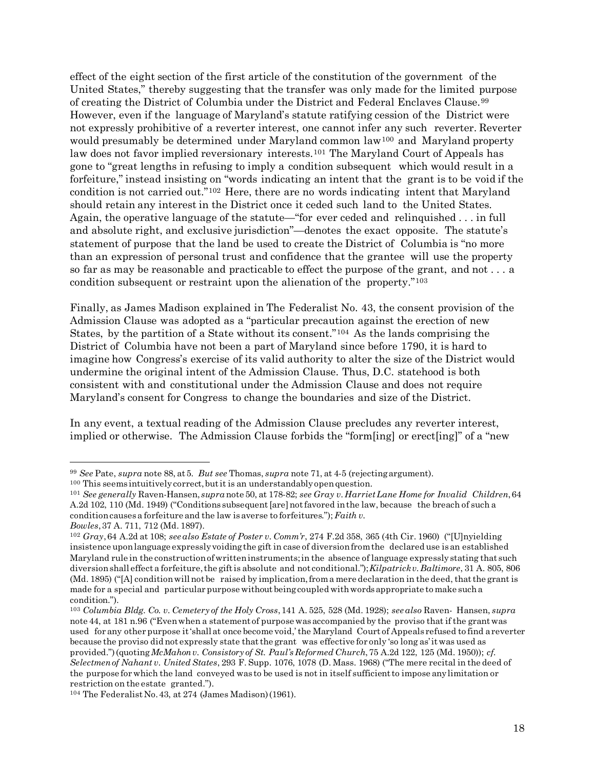effect of the eight section of the first article of the constitution of the government of the United States," thereby suggesting that the transfer was only made for the limited purpose of creating the District of Columbia under the District and Federal Enclaves Clause.[99](#page-17-0) However, even if the language of Maryland's statute ratifying cession of the District were not expressly prohibitive of a reverter interest, one cannot infer any such reverter. Reverter would presumably be determined under Maryland common law<sup>[100](#page-17-1)</sup> and Maryland property law does not favor implied reversionary interests.<sup>[101](#page-17-2)</sup> The Maryland Court of Appeals has gone to "great lengths in refusing to imply a condition subsequent which would result in a forfeiture," instead insisting on "words indicating an intent that the grant is to be void if the condition is not carried out."[102](#page-17-3) Here, there are no words indicating intent that Maryland should retain any interest in the District once it ceded such land to the United States. Again, the operative language of the statute—"for ever ceded and relinquished . . . in full and absolute right, and exclusive jurisdiction"—denotes the exact opposite. The statute's statement of purpose that the land be used to create the District of Columbia is "no more than an expression of personal trust and confidence that the grantee will use the property so far as may be reasonable and practicable to effect the purpose of the grant, and not . . . a condition subsequent or restraint upon the alienation of the property."[103](#page-17-4)

Finally, as James Madison explained in The Federalist No. 43, the consent provision of the Admission Clause was adopted as a "particular precaution against the erection of new States, by the partition of a State without its consent."[104](#page-17-5) As the lands comprising the District of Columbia have not been a part of Maryland since before 1790, it is hard to imagine how Congress's exercise of its valid authority to alter the size of the District would undermine the original intent of the Admission Clause. Thus, D.C. statehood is both consistent with and constitutional under the Admission Clause and does not require Maryland's consent for Congress to change the boundaries and size of the District.

In any event, a textual reading of the Admission Clause precludes any reverter interest, implied or otherwise. The Admission Clause forbids the "form[ing] or erect[ing]" of a "new

<span id="page-17-0"></span><sup>99</sup> *See* Pate, *supra* note 88, at 5. *But see* Thomas, *supra* note 71, at 4-5 (rejectingargument).

<span id="page-17-1"></span><sup>&</sup>lt;sup>100</sup> This seems intuitively correct, but it is an understandably open question.

<span id="page-17-2"></span><sup>101</sup> *See generally* Raven-Hansen, *supra* note 50, at 178-82; *see Gray v.HarrietLane Home for Invalid Children*,64 A.2d 102, 110 (Md. 1949) ("Conditions subsequent[are]notfavored inthe law, because the breach of such a conditioncausesa forfeiture and the law isaverse to forfeitures."); *Faith v. Bowles*,37 A. 711, 712 (Md. 1897).

<span id="page-17-3"></span><sup>102</sup> *Gray*,64 A.2d at 108; *see also Estate of Poster v. Comm'r*, 274 F.2d 358, 365 (4th Cir. 1960) ("[U]nyielding insistence uponlanguage expresslyvoidingthe gift in case of diversionfromthe declared use isan established Maryland rule in the constructionofwritteninstruments;in the absence of language expresslystating that such diversionshall effect a forfeiture,the giftis absolute and not conditional.");*Kilpatrickv.Baltimore*, 31 A. 805, 806  $(Md. 1895)$  ("[A] condition will not be raised by implication, from a mere declaration in the deed, that the grant is made for a special and particular purpose without being coupled with words appropriate to make such a condition.").

<span id="page-17-4"></span><sup>103</sup> *Columbia Bldg. Co. v. Cemetery of the Holy Cross*,141 A. 525, 528 (Md. 1928); *see also* Raven- Hansen, *supra* note 44, at 181 n.96 ("Evenwhen a statement of purpose wasaccompanied by the proviso that if the grantwas used for any other purpose it'shall at once become void,' the Maryland Court of Appeals refused to find areverter because the proviso did not expressly state thatthe grant was effective for only 'so long as'itwas used as provided.")(quoting*McMahonv. Consistory of St. Paul's Reformed Church*,75 A.2d 122, 125 (Md. 1950)); *cf. Selectmenof Nahant v. United States*, 293 F. Supp. 1076, 1078 (D. Mass. 1968) ("The mere recital in the deed of the purpose forwhich the land conveyed was to be used is not in itself sufficientto impose anylimitation or restriction on the estate granted.").

<span id="page-17-5"></span><sup>104</sup> The Federalist No.43, at 274 (James Madison)(1961).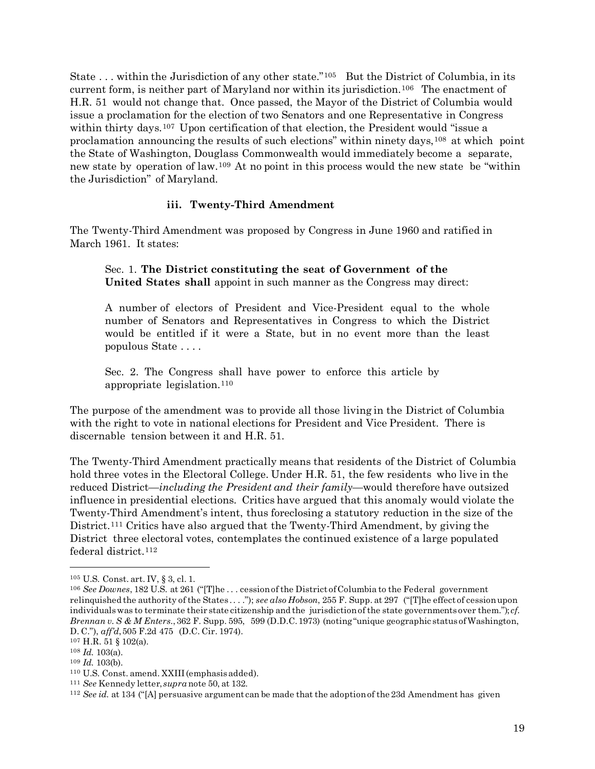State ... within the Jurisdiction of any other state."<sup>[105](#page-18-0)</sup> But the District of Columbia, in its current form, is neither part of Maryland nor within its jurisdiction.<sup>[106](#page-18-1)</sup> The enactment of H.R. 51 would not change that. Once passed, the Mayor of the District of Columbia would issue a proclamation for the election of two Senators and one Representative in Congress within thirty days.<sup>[107](#page-18-2)</sup> Upon certification of that election, the President would "issue a proclamation announcing the results of such elections" within ninety days,  $108$  at which point the State of Washington, Douglass Commonwealth would immediately become a separate, new state by operation of law.[109](#page-18-4) At no point in this process would the new state be "within the Jurisdiction" of Maryland.

#### **iii. Twenty-Third Amendment**

The Twenty-Third Amendment was proposed by Congress in June 1960 and ratified in March 1961. It states:

Sec. 1. **The District constituting the seat of Government of the United States shall** appoint in such manner as the Congress may direct:

A number of electors of President and Vice-President equal to the whole number of Senators and Representatives in Congress to which the District would be entitled if it were a State, but in no event more than the least populous State . . . .

Sec. 2. The Congress shall have power to enforce this article by appropriate legislation.[110](#page-18-5)

The purpose of the amendment was to provide all those living in the District of Columbia with the right to vote in national elections for President and Vice President. There is discernable tension between it and H.R. 51.

The Twenty-Third Amendment practically means that residents of the District of Columbia hold three votes in the Electoral College. Under H.R. 51, the few residents who live in the reduced District—*including the President and their family*—would therefore have outsized influence in presidential elections. Critics have argued that this anomaly would violate the Twenty-Third Amendment's intent, thus foreclosing a statutory reduction in the size of the District.[111](#page-18-6) Critics have also argued that the Twenty-Third Amendment, by giving the District three electoral votes, contemplates the continued existence of a large populated federal district.[112](#page-18-7)

<span id="page-18-0"></span><sup>105</sup> U.S. Const. art. IV, § 3, cl. 1.

<span id="page-18-1"></span><sup>106</sup> *See Downes*, 182 U.S. at 261 ("[T]he . . . cessionof the District ofColumbia to the Federal government relinquished the authority of the States .. . ."); *see also Hobson*, 255 F. Supp. at 297 ("[T]he effect of cessionupon individualswas to terminate their state citizenship and the jurisdictionof the state governments over them."); *cf. Brennan v. S & M Enters.*,362 F. Supp. 595, 599 (D.D.C.1973) (noting"unique geographic status ofWashington, D. C."), *aff'd*,505 F.2d 475 (D.C. Cir. 1974).

<span id="page-18-2"></span><sup>107</sup> H.R. 51 § 102(a).

<span id="page-18-4"></span><span id="page-18-3"></span><sup>108</sup> *Id.* 103(a).

<sup>109</sup> *Id.* 103(b).

<span id="page-18-5"></span><sup>110</sup> U.S. Const. amend. XXIII (emphasisadded).

<span id="page-18-7"></span><span id="page-18-6"></span><sup>111</sup> *See* Kennedy letter, *supra* note 50, at 132.

<sup>112</sup> *See id.* at 134 ("[A] persuasive argument can be made that the adoptionof the 23d Amendment has given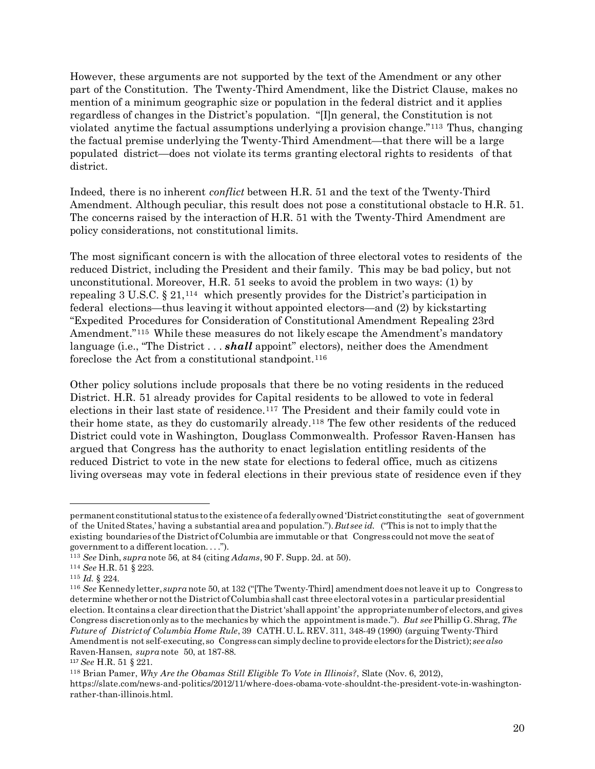However, these arguments are not supported by the text of the Amendment or any other part of the Constitution. The Twenty-Third Amendment, like the District Clause, makes no mention of a minimum geographic size or population in the federal district and it applies regardless of changes in the District's population. "[I]n general, the Constitution is not violated anytime the factual assumptions underlying a provision change."[113](#page-19-0) Thus, changing the factual premise underlying the Twenty-Third Amendment—that there will be a large populated district—does not violate its terms granting electoral rights to residents of that district.

Indeed, there is no inherent *conflict* between H.R. 51 and the text of the Twenty-Third Amendment. Although peculiar, this result does not pose a constitutional obstacle to H.R. 51. The concerns raised by the interaction of H.R. 51 with the Twenty-Third Amendment are policy considerations, not constitutional limits.

The most significant concern is with the allocation of three electoral votes to residents of the reduced District, including the President and their family. This may be bad policy, but not unconstitutional. Moreover, H.R. 51 seeks to avoid the problem in two ways: (1) by repealing 3 U.S.C.  $\S 21$ ,  $^{114}$  $^{114}$  $^{114}$  which presently provides for the District's participation in federal elections—thus leaving it without appointed electors—and (2) by kickstarting "Expedited Procedures for Consideration of Constitutional Amendment Repealing 23rd Amendment."<sup>[115](#page-19-2)</sup> While these measures do not likely escape the Amendment's mandatory language (i.e., "The District . . . *shall* appoint" electors), neither does the Amendment foreclose the Act from a constitutional standpoint.<sup>[116](#page-19-3)</sup>

Other policy solutions include proposals that there be no voting residents in the reduced District. H.R. 51 already provides for Capital residents to be allowed to vote in federal elections in their last state of residence.[117](#page-19-4) The President and their family could vote in their home state, as they do customarily already.[118](#page-19-5) The few other residents of the reduced District could vote in Washington, Douglass Commonwealth. Professor Raven-Hansen has argued that Congress has the authority to enact legislation entitling residents of the reduced District to vote in the new state for elections to federal office, much as citizens living overseas may vote in federal elections in their previous state of residence even if they

permanent constitutional status to the existence ofa federallyowned 'District constitutingthe seat of government of the United States,' having a substantial areaand population.").*But see id.* ("This is not to imply thatthe existing boundaries of the District ofColumbia are immutable or that Congress could notmove the seat of governmentto a differentlocation. . . .").

<span id="page-19-1"></span><span id="page-19-0"></span><sup>113</sup> *See* Dinh, *supra* note 56, at 84 (citing *Adams*, 90 F. Supp. 2d. at 50).

<sup>114</sup> *See* H.R. 51 § 223.

<span id="page-19-2"></span><sup>115</sup> *Id.* § 224.

<span id="page-19-3"></span><sup>116</sup> *See* Kennedyletter, *supra* note 50, at 132 ("[The Twenty-Third] amendment doesnotleave it up to Congress to determine whether or notthe District ofColumbiashall cast three electoral votes in a particular presidential election. It containsa clear directionthatthe District'shall appoint'the appropriatenumber of electors,and gives Congress discretiononlyas to the mechanicsby which the appointmentismade."). *But see*Phillip G.Shrag, *The Future of Districtof Columbia Home Rule*, 39 CATH.U.L. REV. 311, 348-49 (1990) (arguing Twenty-Third Amendmentis not self-executing, so Congress can simplydecline to provide electors for the District); *see also* Raven-Hansen, *supra* note 50, at 187-88.

<span id="page-19-4"></span><sup>117</sup> *See* H.R. 51 § 221.

<span id="page-19-5"></span><sup>118</sup> Brian Pamer, *Why Are the Obamas Still Eligible To Vote in Illinois?*, Slate (Nov. 6, 2012), https://slate.com/news-and-politics/2012/11/where-does-obama-vote-shouldnt-the-president-vote-in-washingtonrather-than-illinois.html.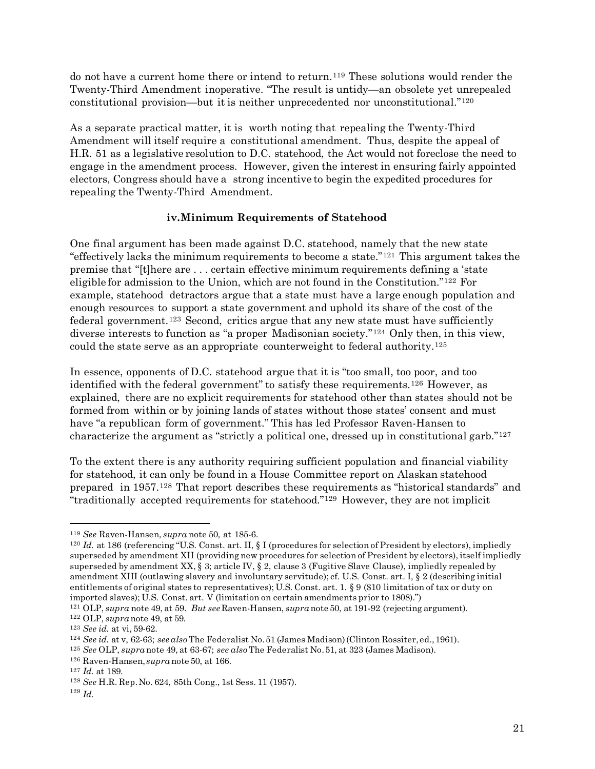do not have a current home there or intend to return.<sup>[119](#page-20-0)</sup> These solutions would render the Twenty-Third Amendment inoperative. "The result is untidy—an obsolete yet unrepealed constitutional provision—but it is neither unprecedented nor unconstitutional."[120](#page-20-1)

As a separate practical matter, it is worth noting that repealing the Twenty-Third Amendment will itself require a constitutional amendment. Thus, despite the appeal of H.R. 51 as a legislative resolution to D.C. statehood, the Act would not foreclose the need to engage in the amendment process. However, given the interest in ensuring fairly appointed electors, Congress should have a strong incentive to begin the expedited procedures for repealing the Twenty-Third Amendment.

## **iv.Minimum Requirements of Statehood**

One final argument has been made against D.C. statehood, namely that the new state "effectively lacks the minimum requirements to become a state."[121](#page-20-2) This argument takes the premise that "[t]here are . . . certain effective minimum requirements defining a 'state eligible for admission to the Union, which are not found in the Constitution."[122](#page-20-3) For example, statehood detractors argue that a state must have a large enough population and enough resources to support a state government and uphold its share of the cost of the federal government.<sup>[123](#page-20-4)</sup> Second, critics argue that any new state must have sufficiently diverse interests to function as "a proper Madisonian society."[124](#page-20-5) Only then, in this view, could the state serve as an appropriate counterweight to federal authority.[125](#page-20-6)

In essence, opponents of D.C. statehood argue that it is "too small, too poor, and too identified with the federal government" to satisfy these requirements.[126](#page-20-7) However, as explained, there are no explicit requirements for statehood other than states should not be formed from within or by joining lands of states without those states' consent and must have "a republican form of government." This has led Professor Raven-Hansen to characterize the argument as "strictly a political one, dressed up in constitutional garb."[127](#page-20-8)

To the extent there is any authority requiring sufficient population and financial viability for statehood, it can only be found in a House Committee report on Alaskan statehood prepared in 1957.[128](#page-20-9) That report describes these requirements as "historical standards" and "traditionally accepted requirements for statehood."[129](#page-20-10) However, they are not implicit

<span id="page-20-1"></span><span id="page-20-0"></span><sup>&</sup>lt;sup>119</sup> *See* Raven-Hansen, *supra* note 50, at 185-6.<br><sup>120</sup> *Id.* at 186 (referencing "U.S. Const. art. II, § I (procedures for selection of President by electors), impliedly superseded by amendment XII (providing new procedures for selection of President by electors), itself impliedly superseded by amendment XX, § 3; article IV, § 2, clause 3 (Fugitive Slave Clause), impliedly repealed by amendment XIII (outlawing slavery and involuntary servitude); cf. U.S. Const. art. I, § 2 (describing initial entitlements of original states to representatives); U.S. Const. art. 1. § 9 (\$10 limitation of tax or duty on imported slaves); U.S. Const. art. V (limitation on certain amendments prior to 1808).")

<span id="page-20-2"></span><sup>121</sup> OLP, *supra* note 49, at 59. *But see* Raven-Hansen, *supra* note 50, at 191-92 (rejecting argument).

<span id="page-20-3"></span><sup>122</sup> OLP, *supra* note 49, at 59*.*

<span id="page-20-4"></span><sup>123</sup> *See id.* at vi, 59-62.

<span id="page-20-5"></span><sup>124</sup> *See id.* at v, 62-63; *see also* The Federalist No.51 (James Madison)(Clinton Rossiter,ed.,1961).

<span id="page-20-6"></span><sup>125</sup> *See* OLP, *supra* note 49, at 63-67; *see also* The Federalist No.51, at 323 (James Madison).

<span id="page-20-7"></span><sup>126</sup> Raven-Hansen, *supra* note 50, at 166.

<span id="page-20-9"></span><span id="page-20-8"></span><sup>127</sup> *Id.* at 189.

<sup>128</sup> *See* H.R. Rep.No. 624, 85th Cong., 1st Sess. 11 (1957).

<span id="page-20-10"></span><sup>129</sup> *Id.*